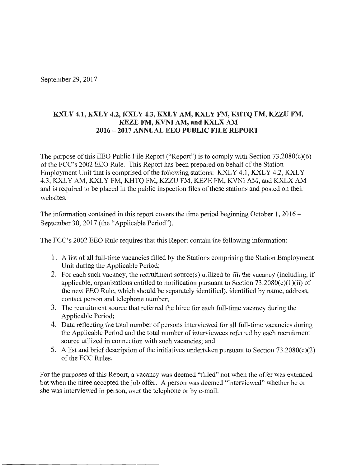September 29, 2017

## KXLY 4.1, KXLY 4.2, KXLY 4.3, KXLY AM, KXLY FM, KHTQ FM, KZZU FM, **KEZE FM, KVNI AM, and KXLX AM 2016 - 2017 ANNUAL EEO PUBLIC FILE REPORT**

The purpose of this EEO Public File Report ("Report") is to comply with Section 73.2080(c)(6) of the FCC's 2002 EEO Rule. This Report has been prepared on behalf of the Station Employment Unit that is comprised of the following stations: KXLY 4.1, KXLY 4.2, KXLY 4.3, KXLY AM, KXLY FM, KHTQ FM, KZZU FM, KEZE FM, KVNI AM, and KXLX AM and is required to be placed in the public inspection files of these stations and posted on their websites.

The information contained in this report covers the time period beginning October 1,  $2016 -$ September 30, 2017 (the "Applicable Period").

The FCC's 2002 EEO Rule requires that this Report contain the following information:

- **1.** A list of all full-time vacancies filled by the Stations comprising the Station Employment Unit during the Applicable Period;
- 2. For each such vacancy, the recruitment source(s) utilized to fill the vacancy (including, if applicable, organizations entitled to notification pursuant to Section  $73.2080(c)(1)(ii)$  of the new EEO Rule, which should be separately identified), identified by name, address, contact person and telephone number;
- 3. The recruitment source that referred the hiree for each full-time vacancy during the Applicable Period;
- **4.** Data reflecting the total number of persons interviewed for all full-time vacancies during the Applicable Period and the total number of interviewees referred by each recruitment source utilized in connection with such vacancies; and
- 5. A list and brief description of the initiatives undertaken pursuant to Section  $73.2080(c)(2)$ of the FCC Rules.

For the purposes of this Report, a vacancy was deemed "filled" not when the offer was extended but when the hiree accepted the job offer. A person was deemed "interviewed" whether he or she was interviewed in person, over the telephone or by e-mail.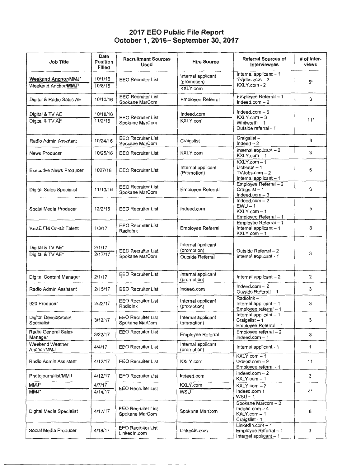## **2017 EEO Public File Report October 1, 2016- September 30, 2017**

| <b>Job Title</b>                           | Date<br><b>Position</b><br><b>Filled</b> | <b>Recruitment Sources</b><br><b>Used</b>   | <b>Hire Source</b>                                           | <b>Referral Sources of</b><br><b>Interviewees</b>                              | # of inter-<br>views |
|--------------------------------------------|------------------------------------------|---------------------------------------------|--------------------------------------------------------------|--------------------------------------------------------------------------------|----------------------|
| Weekend Anchor/MMJ*<br>Weekend Anchor/MMJ* | 10/1/16<br>10/8/16                       | <b>EEO Recruiter List</b>                   | Internal applicant<br>(promotion)<br>KXLY.com                | Internal applicant - 1<br>TVjobs.com $-2$<br>KXLY.com - 2                      | $5*$                 |
| Digital & Radio Sales AE                   | 10/10/16                                 | <b>EEO Recruiter List</b><br>Spokane MarCom | Employee Referral                                            | Employee Referral - 1<br>Indeed.com $-2$                                       | 3                    |
| Digital & TV AE<br>Digital & TV AE         | 10/18/16<br>11/2/16                      | <b>EEO Recruiter List</b><br>Spokane MarCom | Indeed.com<br>KXLY.com                                       | Indeed.com $-6$<br>$KXLY.com-3$<br>Whitworth - 1<br>Outside referral - 1       | $11*$                |
| Radio Admin Assistant                      | 10/24/16                                 | <b>EEO Recruiter List</b><br>Spokane MarCom | Craigslist                                                   | Craigslist-1<br>Indeed $-2$                                                    | 3                    |
| <b>News Producer</b>                       | 10/25/16                                 | <b>EEO Recruiter List</b>                   | KXLY.com                                                     | Internal applicant $-2$<br>KXLY.com - 1                                        | 3                    |
| <b>Executive News Producer</b>             | 1027/16                                  | <b>EEO Recruiter List</b>                   | Internal applicant<br>(Promotion)                            | KXLY.com - 1<br>$LinkedIn - 1$<br>$TV$ Jobs.com $-2$<br>Internal applicant - 1 | 5                    |
| Digital Sales Specialist                   | 11/10/16                                 | <b>EEO Recruiter List</b><br>Spokane MarCom | <b>Employee Referral</b>                                     | Employee Referral - 2<br>Craigslist-1<br>Indeed.com $-3$                       | 6                    |
| Social Media Producer                      | 12/2/16                                  | <b>EEO Recruiter List</b>                   | Indeed.com                                                   | Indeed.com $-2$<br>$EWU - 1$<br>$KXLY.com - 1$<br>Employee Referral - 1        | 5                    |
| <b>KEZE FM On-air Talent</b>               | 1/3/17                                   | <b>EEO Recruiter List</b><br>Radiolnk       | Employee Referral                                            | Employee Referral - 1<br>Internal applicant - 1<br>KXLY.com - 1                | 3                    |
| Digital & TV AE*<br>Digital & TV AE*       | 2/1/17<br>2/17/17                        | <b>EEO Recruiter List</b><br>Spokane MarCom | Internal applicant<br>(promotion)<br><b>Outside Referral</b> | Outside Referral - 2<br>Internal applicant - 1                                 | 3                    |
| Digital Content Manager                    | 2/1/17                                   | EEO Recruiter List                          | Internal applicant<br>(promotion)                            | Internal applicant - 2                                                         | 2                    |
| Radio Admin Assistant                      | 2/15/17                                  | <b>EEO Recruiter List</b>                   | Indeed.com                                                   | Indeed.com $-2$<br>Outside Referral - 1                                        | 3                    |
| 920 Producer                               | 2/22/17                                  | <b>EEO Recruiter List</b><br>Radiolnk       | Internal applicant<br>(promotion)                            | Radiolnk-1<br>Internal applicant - 1<br>Employee referral - 1                  | 3                    |
| Digital Development<br>Specialist          | 3/12/17                                  | <b>EEO Recruiter List</b><br>Spokane MarCom | Internal applicant<br>(promotion)                            | Internal applicant - 1<br>Craigslist-1<br>Employee Referral - 1                | 3                    |
| Radio General Sales<br>Manager             | 3/22/17                                  | <b>EEO Recruiter List</b>                   | Employee Referral                                            | Employee referral $-2$<br>$Indeed.com-1$                                       | 3                    |
| Weekend Weather<br>Anchor/MMJ              | 4/4/17                                   | <b>EEO Recruiter List</b>                   | Internal applicant<br>(promotion)                            | Internal applicant - 1                                                         | $\mathbf{1}$         |
| Radio Admin Assistant                      | 4/12/17                                  | <b>EEO Recruiter List</b>                   | KXLY.com                                                     | KXLY.com - 1<br>Indeed.com $-9$<br>Employee referral - 1                       | 11                   |
| Photojournalist/MMJ                        | 4/12/17                                  | <b>EEO Recruiter List</b>                   | Indeed.com                                                   | $Indeed.com - 2$<br>KXLY.com - 1                                               | 3                    |
| MMJ*                                       | 4/7/17                                   | <b>EEO Recruiter List</b>                   | KXLY.com                                                     | $KXLY.com-2$                                                                   |                      |
| MMJ*                                       | 4/14/17                                  |                                             | <b>WSU</b>                                                   | Indeed.com 1<br>$WSU - 1$                                                      | $4^*$                |
| Digital Media Specialist                   | 4/17/17                                  | <b>EEO Recruiter List</b><br>Spokane MarCom | Spokane MarCom                                               | Spokane Marcom - 2<br>Indeed.com $-4$<br>KXLY.com - 1<br>Craigslist - 1        | 8                    |
| Social Media Producer                      | 4/18/17                                  | <b>EEO Recruiter List</b><br>LinkedIn.com   | LinkedIn.com                                                 | LinkedIn.com $-1$<br>Employee Referral - 1<br>Internal applicant - 1           | 3                    |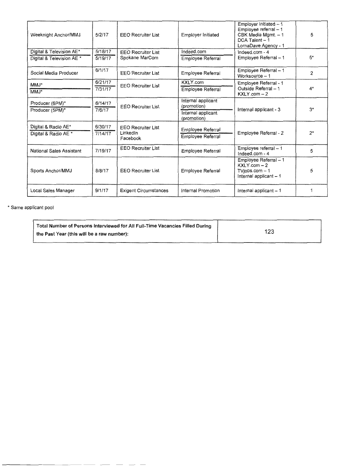| Weeknight Anchor/MMJ      | 5/2/17  | <b>EEO Recruiter List</b>    | Employer Initiated                | Employer initiated - 1<br>Employee referral - 1<br>CBK Media Mgmt. - 1<br>$DCA$ Talent $-1$<br>LornaDave Agency - 1 | 5              |
|---------------------------|---------|------------------------------|-----------------------------------|---------------------------------------------------------------------------------------------------------------------|----------------|
| Digital & Television AE*  | 5/18/17 | <b>EEO Recruiter List</b>    | Indeed.com                        | Indeed.com - 4                                                                                                      |                |
| Digital & Television AE * | 5/19/17 | Spokane MarCom               | Employee Referral                 | Employee Referral - 1                                                                                               | $5*$           |
| Social Media Producer     | 6/1/17  | <b>EEO Recruiter List</b>    | Employee Referral                 | Employee Referral - 1<br>Worksource - 1                                                                             | $\overline{2}$ |
| MMJ*                      | 6/21/17 | <b>EEO Recruiter List</b>    | KXLY.com                          | Employee Referral - 1                                                                                               |                |
| MMJ*                      | 7/31/17 | Employee Referral            |                                   | Outside Referral - 1<br>$KXLY.com - 2$                                                                              | $4*$           |
| Producer (6PM)*           | 6/14/17 | <b>EEO Recruiter List</b>    | Internal applicant<br>(promotion) |                                                                                                                     |                |
| Producer (5PM)*           | 7/6/17  |                              | Internal applicant<br>(promotion) | Internal applicant - 3                                                                                              | $3*$           |
| Digital & Radio AE*       | 6/30/17 | <b>EEO Recruiter List</b>    | Employee Referral                 |                                                                                                                     |                |
| Digital & Radio AE *      | 7/14/17 | LinkedIn<br>Facebook         | Employee Referral                 | Employee Referral - 2                                                                                               | $2^*$          |
| National Sales Assistant  | 7/19/17 | <b>EEO Recruiter List</b>    | Employee Referral                 | Employee referral - 1<br>Indeed.com - 4                                                                             | 5              |
| Sports Anchor/MMJ         | 8/8/17  | <b>EEO Recruiter List</b>    | Employee Referral                 | Employee Referral - 1<br>$KXLY.com - 2$<br>$TV$ jobs.com $-1$<br>Internal applicant - 1                             | 5              |
| Local Sales Manager       | 9/1/17  | <b>Exigent Circumstances</b> | Internal Promotion                | Internal applicant $-1$                                                                                             |                |

\* Same applicant pool

| <sup>1</sup> Total Number of Persons Interviewed for All Full-Time Vacancies Filled During |     |
|--------------------------------------------------------------------------------------------|-----|
| the Past Year (this will be a raw number):                                                 | 123 |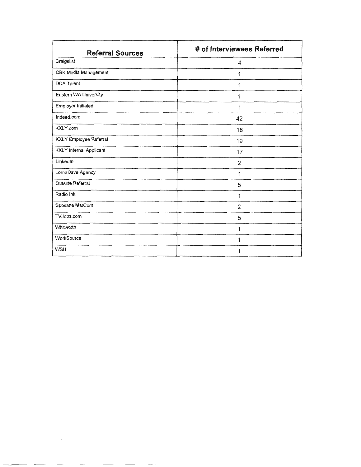| <b>Referral Sources</b>        | # of Interviewees Referred |
|--------------------------------|----------------------------|
| Craigslist                     | 4                          |
| CBK Media Management           | 1                          |
| <b>DCA Talent</b>              | 1                          |
| Eastern WA University          | 1                          |
| Employer Initiated             | 1                          |
| Indeed.com                     | 42                         |
| KXLY.com                       | 18                         |
| <b>KXLY Employee Referral</b>  | 19                         |
| <b>KXLY</b> Internal Applicant | 17                         |
| LinkedIn                       | 2                          |
| LornaDave Agency               | 1                          |
| Outside Referral               | 5                          |
| Radio Ink                      | 1                          |
| Spokane MarCom                 | $\overline{2}$             |
| TVJobs.com                     | 5                          |
| Whitworth                      | 1                          |
| WorkSource                     | 1                          |
| WSU                            | 1                          |

 $\label{eq:2.1} \frac{1}{\sqrt{2}}\int_{0}^{\infty}\frac{1}{\sqrt{2\pi}}\left(\frac{1}{\sqrt{2\pi}}\right)^{2}d\mu\int_{0}^{\infty}\frac{1}{\sqrt{2\pi}}\left(\frac{1}{\sqrt{2\pi}}\right)^{2}d\mu\int_{0}^{\infty}\frac{1}{\sqrt{2\pi}}\left(\frac{1}{\sqrt{2\pi}}\right)^{2}d\mu\int_{0}^{\infty}\frac{1}{\sqrt{2\pi}}\frac{1}{\sqrt{2\pi}}\frac{1}{\sqrt{2\pi}}\frac{1}{\sqrt{2\pi}}\frac{1}{\sqrt{2\pi}}$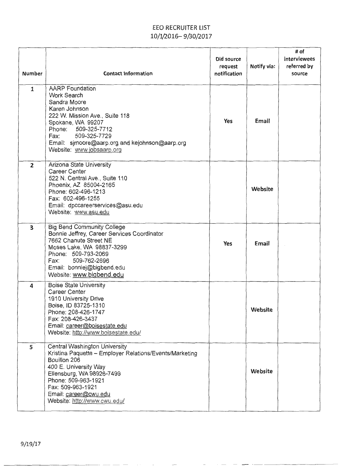# EEO RECRUITER LIST 10/1/2016-9/30/2017

| <b>Number</b>           | <b>Contact Information</b>                                                                                                                                                                                                                                          | Did source<br>request<br>notification | Notify via: | # of<br>interviewees<br>referred by<br>source |
|-------------------------|---------------------------------------------------------------------------------------------------------------------------------------------------------------------------------------------------------------------------------------------------------------------|---------------------------------------|-------------|-----------------------------------------------|
| $\mathbf{1}$            | <b>AARP</b> Foundation<br>Work Search<br>Sandra Moore<br>Karen Johnson<br>222 W. Mission Ave., Suite 118<br>Spokane, WA 99207<br>Phone:<br>509-325-7712<br>Fax:<br>509-325-7729<br>Email: sjmoore@aarp.org and kejohnson@aarp.org<br>Website: www.jobsaarp.org      | Yes                                   | Email       |                                               |
| $\overline{2}$          | Arizona State University<br>Career Center<br>522 N. Central Ave., Suite 110<br>Phoenix, AZ 85004-2165<br>Phone: 602-496-1213<br>Fax: 602-496-1255<br>Email: dpccareerservices@asu.edu<br>Website: www.asu.edu                                                       |                                       | Website     |                                               |
| $\overline{\mathbf{3}}$ | <b>Big Bend Community College</b><br>Bonnie Jeffrey, Career Services Coordinator<br>7662 Chanute Street NE<br>Moses Lake, WA 98837-3299<br>Phone: 509-793-2069<br>509-762-2696<br>Fax:<br>Email: bonniej@bigbend.edu<br>Website: www.bigbend.edu                    | <b>Yes</b>                            | Email       |                                               |
| $\overline{a}$          | <b>Boise State University</b><br>Career Center<br>1910 University Drive<br>Boise, ID 83725-1310<br>Phone: 208-426-1747<br>Fax: 208-426-3437<br>Email: career@boisestate.edu<br>Website: http://www.boisestate.edu/                                                  |                                       | Website     |                                               |
| 5                       | Central Washington University<br>Kristina Paquette - Employer Relations/Events/Marketing<br>Bouillon 206<br>400 E. University Way<br>Ellensburg, WA 98926-7499<br>Phone: 509-963-1921<br>Fax: 509-963-1921<br>Email: career@cwu.edu<br>Website: http://www.cwu.edu/ |                                       | Website     |                                               |

 $\cdots$   $\cdots$   $\cdots$   $\cdots$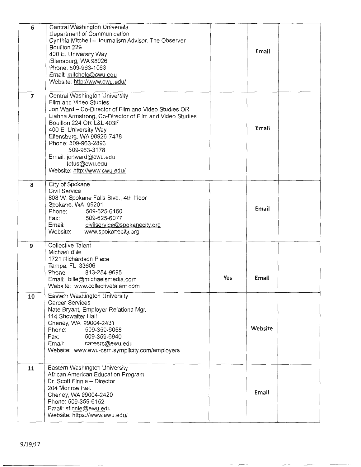| 6  | Central Washington University<br>Department of Communication<br>Cynthia Mitchell - Journalism Advisor, The Observer<br>Bouillon 229<br>400 E. University Way<br>Ellensburg, WA 98926<br>Phone: 509-963-1063<br>Email: mitchelc@cwu.edu<br>Website: http://www.cwu.edu/                                                                                                        |     | Email   |  |
|----|-------------------------------------------------------------------------------------------------------------------------------------------------------------------------------------------------------------------------------------------------------------------------------------------------------------------------------------------------------------------------------|-----|---------|--|
| 7  | Central Washington University<br>Film and Video Studies<br>Jon Ward - Co-Director of Film and Video Studies OR<br>Liahna Armstrong, Co-Director of Film and Video Studies<br>Bouillon 224 OR L&L 403F<br>400 E. University Way<br>Ellensburg, WA 98926-7438<br>Phone: 509-963-2893<br>509-963-3178<br>Email: jonward@cwu.edu<br>lotus@cwu.edu<br>Website: http://www.cwu.edu/ |     | Email   |  |
| 8  | City of Spokane<br>Civil Service<br>808 W. Spokane Falls Blvd., 4th Floor<br>Spokane, WA 99201<br>509-625-6160<br>Phone:<br>Fax:<br>509-625-6077<br>Email: civilservice@spokanecity.org<br>Website:<br>www.spokanecity.org                                                                                                                                                    |     | Email   |  |
| 9  | <b>Collective Talent</b><br>Michael Bille<br>1721 Richardson Place<br>Tampa, FL 33606<br>813-254-9695<br>Phone:<br>Email: bille@michaelsmedia.com<br>Website: www.collectivetalent.com                                                                                                                                                                                        | Yes | Email   |  |
| 10 | Eastern Washington University<br><b>Career Services</b><br>Nate Bryant, Employer Relations Mgr.<br>114 Showalter Hall<br>Cheney, WA 99004-2431<br>Phone:<br>509-359-6058<br>Fax:<br>509-359-6940<br>Email: careers@ewu.edu<br>Website: www.ewu-csm.symplicity.com/employers                                                                                                   |     | Website |  |
| 11 | Eastern Washington University<br>African American Education Program<br>Dr. Scott Finnie - Director<br>204 Monroe Hall<br>Cheney, WA 99004-2420<br>Phone: 509-359-6152<br>Email: sfinnie@ewu.edu<br>Website: https://www.ewu.edu/                                                                                                                                              |     | Email   |  |

 $-\hbox{--}$ 

 $\overline{\phantom{0}}$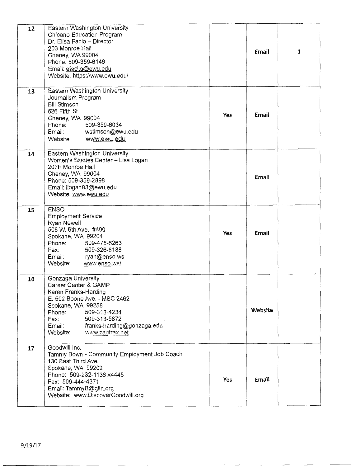| 12 | Eastern Washington University               |            |         |              |
|----|---------------------------------------------|------------|---------|--------------|
|    | Chicano Education Program                   |            |         |              |
|    | Dr. Elisa Facio - Director                  |            |         |              |
|    | 203 Monroe Hall                             |            | Email   | $\mathbf{1}$ |
|    | Cheney, WA 99004                            |            |         |              |
|    | Phone: 509-359-6146                         |            |         |              |
|    | Email: efaciio@ewu.edu                      |            |         |              |
|    | Website: https://www.ewu.edu/               |            |         |              |
|    |                                             |            |         |              |
| 13 | Eastern Washington University               |            |         |              |
|    | Journalism Program                          |            |         |              |
|    | <b>Bill Stimson</b>                         |            |         |              |
|    | 526 Fifth St.                               |            |         |              |
|    | Cheney, WA 99004                            | <b>Yes</b> | Email   |              |
|    | 509-359-6034<br>Phone:                      |            |         |              |
|    | Email:<br>wstimson@ewu.edu                  |            |         |              |
|    |                                             |            |         |              |
|    | www.ewu.edu<br>Website:                     |            |         |              |
| 14 | Eastern Washington University               |            |         |              |
|    | Women's Studies Center - Lisa Logan         |            |         |              |
|    | 207F Monroe Hall                            |            |         |              |
|    | Cheney, WA 99004                            |            |         |              |
|    | Phone: 509-359-2898                         |            | Email   |              |
|    | Email: Ilogan83@ewu.edu                     |            |         |              |
|    | Website: www.ewu.edu                        |            |         |              |
|    |                                             |            |         |              |
| 15 | <b>ENSO</b>                                 |            |         |              |
|    | <b>Employment Service</b>                   |            |         |              |
|    | Ryan Newell                                 |            |         |              |
|    | 508 W. 6th Ave., #400                       |            |         |              |
|    | Spokane, WA 99204                           | Yes        | Email   |              |
|    | 509-475-5263<br>Phone:                      |            |         |              |
|    | 509-326-8188<br>Fax:                        |            |         |              |
|    | Email:<br>ryan@enso.ws                      |            |         |              |
|    | Website:<br>www.enso.ws/                    |            |         |              |
|    |                                             |            |         |              |
| 16 | Gonzaga University                          |            |         |              |
|    | Career Center & GAMP                        |            |         |              |
|    | Karen Franks-Harding                        |            |         |              |
|    | E. 502 Boone Ave. - MSC 2462                |            |         |              |
|    | Spokane, WA 99258                           |            |         |              |
|    | 509-313-4234<br>Phone:                      |            | Website |              |
|    | 509-313-5872<br>Fax:                        |            |         |              |
|    | Email: franks-harding@gonzaga.edu           |            |         |              |
|    | www.zagtrax.net<br>Website:                 |            |         |              |
|    |                                             |            |         |              |
| 17 | Goodwill Inc.                               |            |         |              |
|    | Tammy Bown - Community Employment Job Coach |            |         |              |
|    | 130 East Third Ave.                         |            |         |              |
|    | Spokane, WA 99202                           |            |         |              |
|    | Phone: 509-232-1136 x4445                   |            |         |              |
|    | Fax: 509-444-4371                           | Yes        | Email   |              |
|    | Email: TammyB@giin.org                      |            |         |              |
|    | Website: www.DiscoverGoodwill.org           |            |         |              |
|    |                                             |            |         |              |
|    |                                             |            |         |              |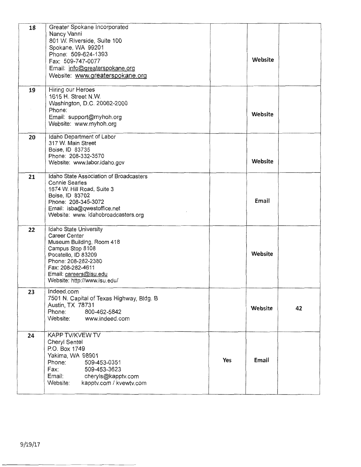| 18 | Greater Spokane Incorporated<br>Nancy Vanni<br>801 W. Riverside, Suite 100<br>Spokane, WA 99201<br>Phone: 509-624-1393<br>Fax: 509-747-0077<br>Email: info@greaterspokane.org<br>Website: www.greaterspokane.org      |     | Website |    |
|----|-----------------------------------------------------------------------------------------------------------------------------------------------------------------------------------------------------------------------|-----|---------|----|
| 19 | Hiring our Heroes<br>1615 H. Street N.W.<br>Washington, D.C. 20062-2000<br>Phone:<br>Email: support@myhoh.org<br>Website: www.myhoh.org                                                                               |     | Website |    |
| 20 | Idaho Department of Labor<br>317 W. Main Street<br>Boise, ID 83735<br>Phone: 208-332-3570<br>Website: www.labor.idaho.gov                                                                                             |     | Website |    |
| 21 | Idaho State Association of Broadcasters<br><b>Connie Searles</b><br>1674 W. Hill Road, Suite 3<br>Boise, ID 83702<br>Phone: 208-345-3072<br>Email: isba@qwestoffice.net<br>Website: www.idahobroadcasters.org         |     | Email   |    |
| 22 | Idaho State University<br>Career Center<br>Museum Building, Room 418<br>Campus Stop 8108<br>Pocatello, ID 83209<br>Phone: 208-282-2380<br>Fax: 208-282-4611<br>Email: careers@isu.edu<br>Website: http://www.isu.edu/ |     | Website |    |
| 23 | Indeed.com<br>7501 N. Capital of Texas Highway, Bldg. B<br>Austin, TX 78731<br>800-462-5842<br>Phone:<br>Website:<br>www.indeed.com                                                                                   |     | Website | 42 |
| 24 | KAPP TV/KVEW TV<br>Cheryl Sentel<br>P.O. Box 1749<br>Yakima, WA 98901<br>Phone:<br>509-453-0351<br>Fax:<br>509-453-3623<br>Email:<br>cheryls@kapptv.com<br>kapptv.com / kvewtv.com<br>Website:                        | Yes | Email   |    |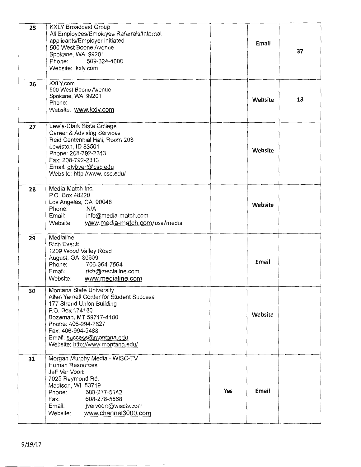| 25 | <b>KXLY Broadcast Group</b><br>All Employees/Employee Referrals/Internal<br>applicants/Employer initiated |     |         |    |
|----|-----------------------------------------------------------------------------------------------------------|-----|---------|----|
|    | 500 West Boone Avenue<br>Spokane, WA 99201                                                                |     | Email   | 37 |
|    | Phone:<br>509-324-4000                                                                                    |     |         |    |
|    | Website: kxly.com                                                                                         |     |         |    |
| 26 | KXLY.com<br>500 West Boone Avenue                                                                         |     |         |    |
|    | Spokane, WA 99201<br>Phone:                                                                               |     | Website | 18 |
|    | Website: www.kxly.com                                                                                     |     |         |    |
| 27 | Lewis-Clark State College                                                                                 |     |         |    |
|    | Career & Advising Services<br>Reid Centennial Hall, Room 208                                              |     |         |    |
|    | Lewiston, ID 83501                                                                                        |     | Website |    |
|    | Phone: 208-792-2313<br>Fax: 208-792-2313                                                                  |     |         |    |
|    | Email: dlybyer@lcsc.edu<br>Website: http://www.lcsc.edu/                                                  |     |         |    |
|    |                                                                                                           |     |         |    |
| 28 | Media Match Inc.<br>P.O. Box 48220                                                                        |     |         |    |
|    | Los Angeles, CA 90048                                                                                     |     | Website |    |
|    | Phone:<br>N/A<br>Email:<br>info@media-match.com                                                           |     |         |    |
|    | Website:<br>www.media-match.com/usa/media                                                                 |     |         |    |
| 29 | Medialine                                                                                                 |     |         |    |
|    | <b>Rich Everitt</b><br>1209 Wood Valley Road                                                              |     |         |    |
|    | August, GA 30909<br>706-364-7564<br>Phone:                                                                |     | Email   |    |
|    | Email:<br>rich@medialine.com                                                                              |     |         |    |
|    | www.medialine.com<br>Website:                                                                             |     |         |    |
| 30 | Montana State University<br>Allen Yarnell Center for Student Success                                      |     |         |    |
|    | 177 Strand Union Building                                                                                 |     |         |    |
|    | P.O. Box 174180<br>Bozeman, MT 59717-4180                                                                 |     | Website |    |
|    | Phone: 406-994-7627                                                                                       |     |         |    |
|    | Fax: 406-994-5488<br>Email: success@montana.edu                                                           |     |         |    |
|    | Website: http://www.montana.edu/                                                                          |     |         |    |
| 31 | Morgan Murphy Media - WISC-TV<br>Human Resources                                                          |     |         |    |
|    | Jeff Ver Voort                                                                                            |     |         |    |
|    | 7025 Raymond Rd.<br>Madison, WI 53719                                                                     |     |         |    |
|    | Phone:<br>608-277-5142                                                                                    | Yes | Email   |    |
|    | Fax:<br>608-278-5568<br>Email:<br>jvervoort@wisctv.com                                                    |     |         |    |
|    | www.channel3000.com<br>Website:                                                                           |     |         |    |
|    |                                                                                                           |     |         |    |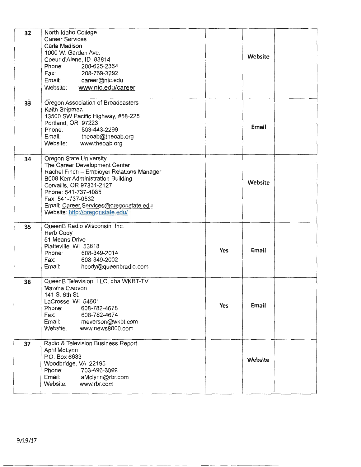| 32 | North Idaho College<br><b>Career Services</b><br>Carla Madison<br>1000 W. Garden Ave.<br>Coeur d'Alene, ID 83814<br>Phone:<br>208-625-2364<br>Fax:<br>208-769-3292<br>Email: career@nic.edu                                                                                                      |     | Website |  |
|----|--------------------------------------------------------------------------------------------------------------------------------------------------------------------------------------------------------------------------------------------------------------------------------------------------|-----|---------|--|
|    | www.nic.edu/career<br>Website:                                                                                                                                                                                                                                                                   |     |         |  |
| 33 | Oregon Association of Broadcasters<br>Keith Shipman<br>13500 SW Pacific Highway, #58-225<br>Portland, OR 97223<br>503-443-2299<br>Phone:<br>Email: theoab@theoab.org<br>Website:<br>www.theoab.org                                                                                               |     | Email   |  |
| 34 | Oregon State University<br>The Career Development Center<br>Rachel Finch - Employer Relations Manager<br>B008 Kerr Administration Building<br>Corvallis, OR 97331-2127<br>Phone: 541-737-4085<br>Fax: 541-737-0532<br>Email: Career Services@oregonstate.edu<br>Website: http://oregonstate.edu/ |     | Website |  |
| 35 | QueenB Radio Wisconsin, Inc.<br>Herb Cody<br>51 Means Drive<br>Platteville, WI 53818<br>608-349-2014<br>Phone:<br>608-349-2002<br>Fax:<br>Email:<br>hcody@queenbradio.com                                                                                                                        | Yes | Email   |  |
| 36 | QueenB Television, LLC, dba WKBT-TV<br>Marsha Everson<br>141 S. 6th St.<br>LaCrosse, WI 54601<br>Phone:<br>608-782-4678<br>Fax:<br>608-782-4674<br>Email:<br>meverson@wkbt.com<br>www.news8000.com<br>Website:                                                                                   | Yes | Email   |  |
| 37 | Radio & Television Business Report<br>April McLynn<br>P.O. Box 6633<br>Woodbridge, VA 22195<br>Phone:<br>703-490-3099<br>Email:<br>aMclynn@rbr.com<br>Website:<br>www.rbr.com                                                                                                                    |     | Website |  |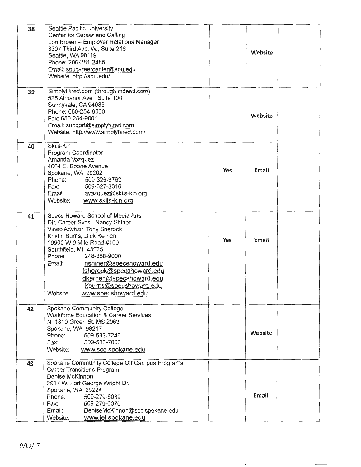| 38<br>39 | Seattle Pacific University<br>Center for Career and Calling<br>Lori Brown - Employer Relations Manager<br>3307 Third Ave. W., Suite 216<br>Seattle, WA 98119<br>Phone: 206-281-2485<br>Email: spucareercenter@spu.edu<br>Website: http://spu.edu/<br>SimplyHired.com (through indeed.com)                                                                                |     | Website |  |
|----------|--------------------------------------------------------------------------------------------------------------------------------------------------------------------------------------------------------------------------------------------------------------------------------------------------------------------------------------------------------------------------|-----|---------|--|
|          | 525 Almanor Ave., Suite 100<br>Sunnyvale, CA 94085<br>Phone: 650-254-9000<br>Fax: 650-254-9001<br>Email: support@simplyhired.com<br>Website: http://www.simplyhired.com/                                                                                                                                                                                                 |     | Website |  |
| 40       | Skils-Kin<br>Program Coordinator<br>Amanda Vazquez<br>4004 E. Boone Avenue<br>Spokane, WA 99202<br>Phone:<br>509-326-6760<br>509-327-3316<br>Fax:<br>avazquez@skils-kin.org<br>Email:<br>www.skils-kin.org<br>Website:                                                                                                                                                   | Yes | Email   |  |
| 41       | Specs Howard School of Media Arts<br>Dir. Career Svcs., Nancy Shiner<br>Video Advisor, Tony Sherock<br>Kristin Burns, Dick Kernen<br>19900 W 9 Mile Road #100<br>Southfield, MI 48075<br>248-358-9000<br>Phone:<br>nshiner@specshoward.edu<br>Email:<br>tsherock@specshoward.edu<br>dkernen@specshoward.edu<br>kburns@specshoward.edu<br>www.specshoward.edu<br>Website: | Yes | Email   |  |
| 42       | Spokane Community College<br><b>Workforce Education &amp; Career Services</b><br>N. 1810 Green St. MS 2063<br>Spokane, WA 99217<br>509-533-7249<br>Phone:<br>509-533-7006<br>Fax:<br>Website:<br>www.scc.spokane.edu                                                                                                                                                     |     | Website |  |
| 43       | Spokane Community College Off Campus Programs<br>Career Transitions Program<br>Denise McKinnon<br>2917 W. Fort George Wright Dr.<br>Spokane, WA 99224<br>509-279-6039<br>Phone:<br>Fax:<br>509-279-6070<br>Email:<br>DeniseMcKinnon@scc.spokane.edu<br>www.iel.spokane.edu<br>Website:                                                                                   |     | Email   |  |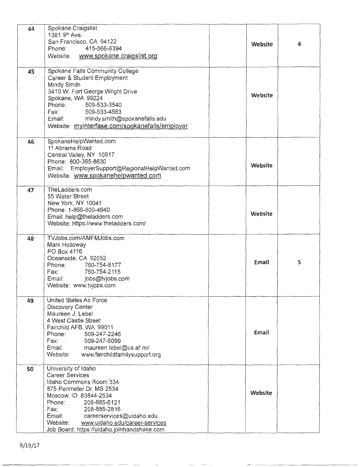| 44 | Spokane Craigslist<br>1381 9th Ave.<br>San Francisco, CA 94122<br>415-566-6394<br>Phone:<br>Website:<br>www.spokane.craigslist.org                                                                                                                                                                         | Website | 4 |
|----|------------------------------------------------------------------------------------------------------------------------------------------------------------------------------------------------------------------------------------------------------------------------------------------------------------|---------|---|
| 45 | Spokane Falls Community College<br>Career & Student Employment<br>Mindy Smith<br>3410 W. Fort George Wright Drive<br>Spokane, WA 99224<br>Phone:<br>509-533-3540<br>509-533-4563<br>Fax:<br>Email: mindy.smith@spokanefalls.edu<br>Website: myinterfase.com/spokanefalls/employer                          | Website |   |
| 46 | SpokaneHelpWanted.com<br>11 Abrams Road<br>Central Valley, NY 10917<br>Phone: 800-365-8630<br>Email: EmployerSupport@RegionalHelpWanted.com<br>Website: www.spokanehelpwanted.com                                                                                                                          | Website |   |
| 47 | TheLadders.com<br>55 Water Street<br>New York, NY 10041<br>Phone: 1-866-800-4640<br>Email: help@theladders.com<br>Website: https://www.theladders.com/                                                                                                                                                     | Website |   |
| 48 | TVJobs.com/AMFMJobs.com<br>Mark Holloway<br>PO Box 4116<br>Oceanside, CA 92052<br>Phone:<br>760-754-8177<br>Fax: 760-754-2115<br>Email: jobs@tvjobs.com<br>Website: www.tvjobs.com                                                                                                                         | Email   | 5 |
| 49 | United States Air Force<br>Discovery Center<br>Maureen J. Lebel<br>4 West Castle Street<br>Fairchild AFB, WA 99011<br>509-247-2246<br>Phone:<br>Fax:<br>509-247-5099<br>Email: maureen.lebel@us.af.mil<br>Website: www.fairchildfamilysupport.org                                                          | Email   |   |
| 50 | University of Idaho<br><b>Career Services</b><br>Idaho Commons Room 334<br>875 Perimeter Dr. MS 2534<br>Moscow, ID 83844-2534<br>Phone:<br>208-885-6121<br>Fax: 208-885-2816<br>Email: careerservices@uidaho.edu<br>Website: www.uidaho.edu/career-services<br>Job Board: https://uidaho.joinhandshake.com | Website |   |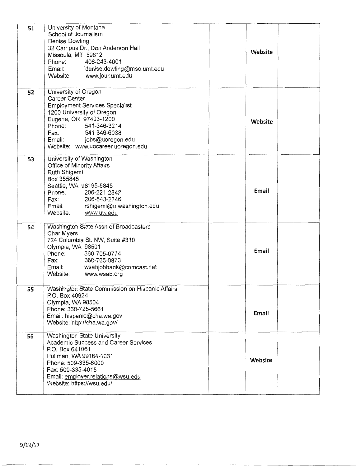| 51 | University of Montana<br>School of Journalism<br>Denise Dowling<br>32 Campus Dr., Don Anderson Hall<br>Missoula, MT 59812<br>406-243-4001<br>Phone:<br>Email: denise.dowling@mso.umt.edu<br>Website: www.jour.umt.edu                               | Website |  |
|----|-----------------------------------------------------------------------------------------------------------------------------------------------------------------------------------------------------------------------------------------------------|---------|--|
| 52 | University of Oregon<br>Career Center<br><b>Employment Services Specialist</b><br>1200 University of Oregon<br>Eugene, OR 97403-1200<br>Phone: 541-346-3214<br>541-346-6038<br>Fax:<br>Email: jobs@uoregon.edu<br>Website: www.uocareer.uoregon.edu | Website |  |
| 53 | University of Washington<br>Office of Minority Affairs<br>Ruth Shigemi<br>Box 355845<br>Seattle, WA 98195-5845<br>Phone: 206-221-2842<br>Friorie. 200-221-2042<br>Fax: 206-543-2746<br>Email: rshigemi@u.washington.edu<br>Website: www.uw.edu      | Email   |  |
| 54 | Washington State Assn of Broadcasters<br><b>Char Myers</b><br>724 Columbia St. NW, Suite #310<br>Olympia, WA 98501<br>Phone: 360-705-0774<br>360-705-0873<br>Fax:<br>Email: wsabjobbank@comcast.net<br>Website: www.wsab.org                        | Email   |  |
| 55 | Washington State Commission on Hispanic Affairs<br>P.O. Box 40924<br>Olympia, WA 98504<br>Phone: 360-725-5661<br>Email: hispanic@cha.wa.gov<br>Website: http://cha.wa.gov/                                                                          | Email   |  |
| 56 | Washington State University<br><b>Academic Success and Career Services</b><br>P.O. Box 641061<br>Pullman, WA 99164-1061<br>Phone: 509-335-6000<br>Fax: 509-335-4015<br>Email: employer.relations@wsu.edu<br>Website: https://wsu.edu/               | Website |  |

 $-$  -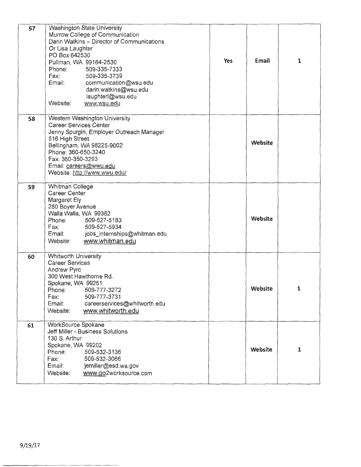| 57 | Washington State University<br>Murrow College of Communication<br>Darin Watkins - Director of Communications<br>Or Lisa Laughter<br>PO Box 642530<br>Pullman, WA 99164-2530<br>Phone:<br>509-335-7333<br>509-335-3739<br>Fax:<br>communication@wsu.edu<br>Email:<br>darin.watkins@wsu.edu<br>laughterl@wsu.edu<br>Website.<br>www.wsu.edu | <b>Yes</b> | Email   | 1            |
|----|-------------------------------------------------------------------------------------------------------------------------------------------------------------------------------------------------------------------------------------------------------------------------------------------------------------------------------------------|------------|---------|--------------|
| 58 | Western Washington University<br><b>Career Services Center</b><br>Jenny Spurgin, Employer Outreach Manager<br>516 High Street<br>Bellingham, WA 98225-9002<br>Phone: 360-650-3240<br>Fax: 360-350-3293<br>Email: careers@wwu.edu<br>Website: http://www.wwu.edu/                                                                          |            | Website |              |
| 59 | Whitman College<br>Career Center<br>Margaret Ely<br>280 Boyer Avenue<br>Walla Walla, WA 99362<br>Phone: 509-527-5183<br>509-527-5934<br>Fax:<br>Email: jobs_internships@whitman.edu<br>www.whitman.edu<br>Website:                                                                                                                        |            | Website |              |
| 60 | <b>Whitworth University</b><br><b>Career Services</b><br>Andrew Pyrc<br>300 West Hawthorne Rd.<br>Spokane, WA 99251<br>Phone:<br>509-777-3272<br>509-777-3731<br>Fax:<br>Email:<br>careerservices@whitworth.edu<br>www.whitworth.edu<br>Website:                                                                                          |            | Website | 1            |
| 61 | WorkSource Spokane<br>Jeff Miller - Business Solutions<br>130 S. Arthur<br>Spokane, WA 99202<br>Phone:<br>509-532-3136<br>Fax:<br>509-532-3066<br>Email:<br>jemiller@esd.wa.gov<br>www.go2worksource.com<br>Website:                                                                                                                      |            | Website | $\mathbf{1}$ |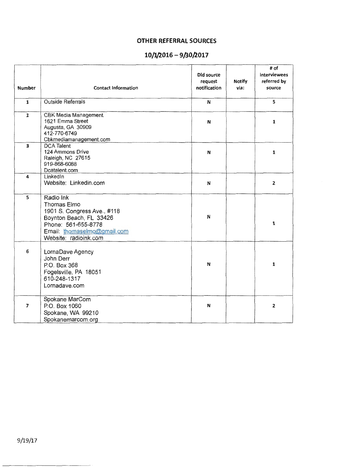# **OTHER REFERRAL SOURCES**

# **10/1/2016- 9/30/2017**

|                |                                                                                                                                                                   | Did source<br>request | <b>Notify</b> | # of<br>interviewees<br>referred by |
|----------------|-------------------------------------------------------------------------------------------------------------------------------------------------------------------|-----------------------|---------------|-------------------------------------|
| <b>Number</b>  | <b>Contact Information</b>                                                                                                                                        | notification          | via:          | source                              |
| $\mathbf{1}$   | <b>Outside Referrals</b>                                                                                                                                          | N                     |               | 5                                   |
| $\overline{2}$ | <b>CBK Media Management</b><br>1621 Emma Street<br>Augusta, GA 30909<br>412-770-6749<br>Cbkmediamanagement.com                                                    | N                     |               | $\mathbf{1}$                        |
| 3              | <b>DCA Talent</b><br>124 Ammons Drive<br>Raleigh, NC 27615<br>919-868-6088<br>Dcatalent.com                                                                       | N                     |               | $\mathbf{1}$                        |
| 4              | LinkedIn<br>Website: Linkedin.com                                                                                                                                 | N                     |               | 2                                   |
| 5              | Radio Ink<br>Thomas Elmo<br>1901 S. Congress Ave., #118<br>Boynton Beach, FL 33426<br>Phone: 561-655-8778<br>Email: thomaselmo@gmail.com<br>Website: radioink.com | N                     |               | $\mathbf{1}$                        |
| 6              | LornaDave Agency<br>John Derr<br>P.O. Box 368<br>Fogelsville, PA 18051<br>610-248-1317<br>Lornadave.com                                                           | N                     |               | $\mathbf 1$                         |
| $\overline{ }$ | Spokane MarCom<br>P.O. Box 1060<br>Spokane, WA 99210<br>Spokanemarcom.org                                                                                         | N                     |               | $\mathbf{z}$                        |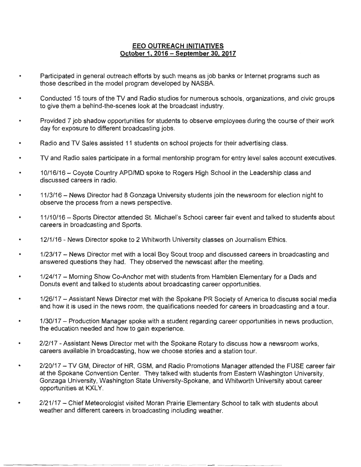### **EEO OUTREACH INITIATIVES October 1. 2016 - September** 30, **2017**

- Participated in general outreach efforts by such means as job banks or Internet programs such as those described in the model program developed by NASBA.
- Conducted 15 tours of the TV and Radio studios for numerous schools, organizations, and civic groups to give them a behind-the-scenes look at the broadcast industry.
- Provided 7 job shadow opportunities for students to observe employees during the course of their work day for exposure to different broadcasting jobs.
- Radio and TV Sales assisted 11 students on school projects for their advertising class.
- TV and Radio sales participate in a formal mentorship program for entry level sales account executives.
- 10/16/16 Coyote Country APO/MD spoke to Rogers High School in the Leadership class and discussed careers in radio.
- 11/3/16 News Director had 8 Gonzaga University students join the newsroom for election night to observe the process from a news perspective.
- 11/10/16 Sports Director attended St. Michael's School career fair event and talked to students about careers in broadcasting and Sports.
- 12/1/16 - News Director spoke to 2 Whitworth University classes on Journalism Ethics .
- 1/23/17 - News Director met with a local Boy Scout troop and discussed careers in broadcasting and answered questions they had. They observed the newscast after the meeting.
- 1/24/17 - Morning Show Co-Anchor met with students from Hamblen Elementary for a Dads and Donuts event and talked to students about broadcasting career opportunities.
- 1/26/17 -Assistant News Director met with the Spokane PR Society of America to discuss social media and how it is used in the news room, the qualifications needed for careers in broadcasting and a tour.
- 1 /30/17 Production Manager spoke with a student regarding career opportunities in news production, the education needed and how to gain experience.
- 2/2/17 Assistant News Director met with the Spokane Rotary to discuss how a newsroom works, careers available in broadcasting, how we choose stories and a station tour.
- 2/20/17 - TV GM, Director of HR, GSM, and Radio Promotions Manager attended the FUSE career fair at the Spokane Convention Center. They talked with students from Eastern Washington University, Gonzaga University, Washington State University-Spokane, and Whitworth University about career opportunities at KXLY.
- 2/21/17 - Chief Meteorologist visited Moran Prairie Elementary School to talk with students about weather and different careers in broadcasting including weather.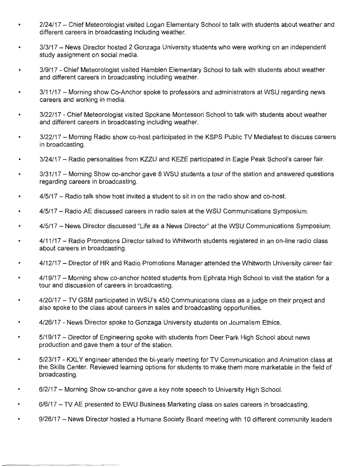- 2/24/17 Chief Meteorologist visited Logan Elementary School to talk with students about weather and different careers in broadcasting including weather.
- 3/3/17 News Director hosted 2 Gonzaga University students who were working on an independent study assignment on social media.
- 3/9/17 Chief Meteorologist visited Hamblen Elementary School to talk with students about weather and different careers in broadcasting including weather.
- 3/11/17 Morning show Co-Anchor spoke to professors and administrators at WSU regarding news careers and working in media.
- 3/22/17 Chief Meteorologist visited Spokane Montessori School to talk with students about weather and different careers in broadcasting including weather.
- 3/22/17 Morning Radio show co-host participated in the KSPS Public TV Mediafest to discuss careers in broadcasting.
- 3/24/17 Radio personalities from KZZU and KEZE participated in Eagle Peak School's career fair.
- 3/31/17 Morning Show co-anchor gave 8 WSU students a tour of the station and answered questions regarding careers in broadcasting.
- 4/5/17 Radio talk show host invited a student to sit in on the radio show and co-host.
- 4/5/17 Radio AE discussed careers in radio sales at the WSU Communications Symposium.
- 4/5/17 News Director discussed "Life as a News Director" at the WSU Communications Symposium.
- 4/11/17 Radio Promotions Director talked to Whitworth students registered in an on-line radio class about careers in broadcasting.
- 4/12/17 Director of HR and Radio Promotions Manager attended the Whitworth University career fair.
- 4/19/17 Morning show co-anchor hosted students from Ephrata High School to visit the station for a tour and discussion of careers in broadcasting.
- 4/20/17 TV GSM participated in WSU's 450 Communications class as a judge on their project and also spoke to the class about careers in sales and broadcasting opportunities.
- 4/26/17 News Director spoke to Gonzaga University students on Journalism Ethics.  $\bullet$
- 5/19/17 Director of Engineering spoke with students from Deer Park High School about news production and gave them a tour of the station.
- 5/23/17 KXLY engineer attended the bi-yearly meeting for TV Communication and Animation class at the Skills Center. Reviewed learning options for students to make them more marketable in the field of broadcasting.
- 6/2/17 Morning Show co-anchor gave a key note speech to University High School.
- 6/6/17 TV AE presented to EWU Business Marketing class on sales careers in broadcasting.
- 9/26/17 News Director hosted a Humane Society Board meeting with 10 different community leaders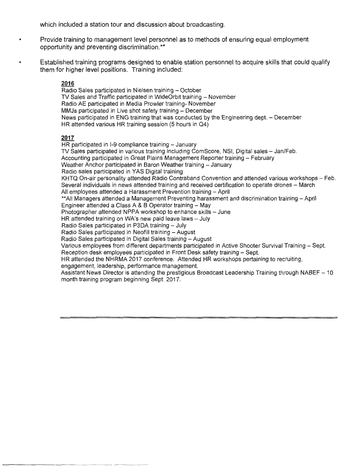which included a station tour and discussion about broadcasting.

- Provide training to management level personnel as to methods of ensuring equal employment opportunity and preventing discrimination.\*\*
- Established training programs designed to enable station personnel to acquire skills that could qualify them for higher level positions. Training included:

#### **2016**

Radio Sales participated in Nielsen training - October TV Sales and Traffic participated in WideOrbit training - November Radio AE participated in Media Prowler training- November MMJs participated in Live shot safety training - December News participated in ENG training that was conducted by the Engineering dept. - December HR attended various HR training session (5 hours in Q4)

#### **2017**

HR participated in 1-9 compliance training - January TV Sales participated in various training including ComScore, NSI, Digital sales - Jan/Feb. Accounting participated in Great Plains Management Reporter training - February Weather Anchor participated in Baron Weather training - January Radio sales participated in YAS Digital training KHTQ On-air personality attended Radio Contraband Convention and attended various workshops - Feb. Several individuals in news attended training and received certification to operate drones - March All employees attended a Harassment Prevention training - April \*\*All Managers attended a Management Preventing harassment and discrimination training - April Engineer attended a Class A & B Operator training  $-$  May Photographer attended NPPA workshop to enhance skills - June HR attended training on WA's new paid leave laws - July Radio Sales participated in P3DA training - July Radio Sales participated in Neofill training - August Radio Sales participated in Digital Sales training - August Various employees from different departments participated in Active Shooter Survival Training - Sept. Reception desk employees participated in Front Desk safety training - Sept. HR attended the NHRMA 2017 conference. Attended HR workshops pertaining to recruiting, engagement, leadership, performance management. Assistant News Director is attending the prestigious Broadcast Leadership Training through NABEF - 10 month training program beginning Sept. 2017.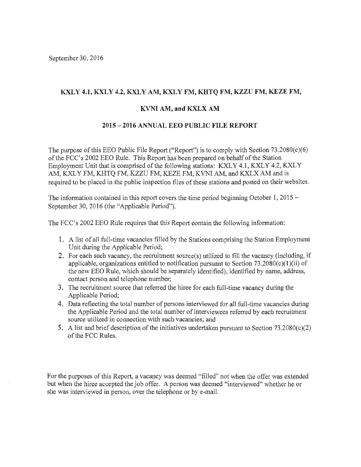### KXLY 4.1, KXLY 4.2, KXLY AM, KXLY FM, KHTQ FM, KZZU FM, KEZE FM,

#### **KVNI AM, and KXLX AM**

#### **2015 - 2016 ANNUAL EEO PUBLIC FILE REPORT**

The purpose of this EEO Public File Report ("Report") is to comply with Section  $73.2080(c)(6)$ of the FCC's 2002 EEO Rule. This Report has been prepared on behalf of the Station Employment Unit that is comprised of the following stations: KXLY 4.1, KXLY 4.2, KXLY AM, KXLY FM, KHTQ FM, KZZU FM, KEZE FM, KVNI AM, and KXLX AM and is required to be placed in the public inspection files of these stations and posted on their websites.

The information contained in this report covers the time period beginning October 1, 2015 -September 30, 2016 (the "Applicable Period").

The FCC's 2002 EEO Rule requires that this Report contain the following information:

- **1.** A list of all full-time vacancies filled by the Stations comprising the Station Employment Unit during the Applicable Period;
- 2. For each such vacancy, the recruitment source(s) utilized to fill the vacancy (including, if applicable, organizations entitled to notification pursuant to Section  $73.2080(c)(1)(ii)$  of the new EEO Rule, which should be separately identified), identified by name, address, contact person and telephone number;
- 3. The recruitment source that referred the hiree for each full-time vacancy during the Applicable Period;
- **4.** Data reflecting the total number of persons interviewed for all full-time vacancies during the Applicable Period and the total number of interviewees referred by each recruitment source utilized in connection with such vacancies; and
- 5. A list and brief description of the initiatives undertaken pursuant to Section 73.2080(c)(2) of the FCC Rules.

For the purposes of this Report, a vacancy was deemed "filled" not when the offer was extended but when the hiree accepted the job offer. A person was deemed "interviewed" whether he or she was interviewed in person, over the telephone or by e-mail.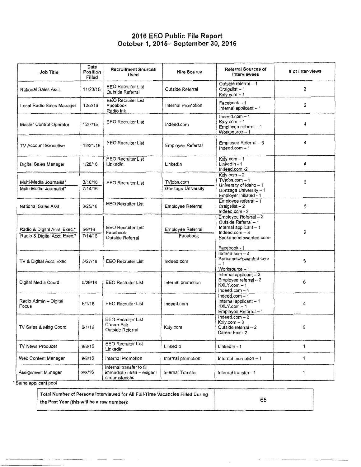### **2016 EEO Public File Report October 1, 2015- September 30, 2016**

| Job Title                                                    | Date<br>Position<br>Filled | <b>Recruitment Sources</b><br>Used                                     | <b>Hire Source</b>               | Referral Sources of<br><b>Interviewees</b>                                                                          | # of inter-views |
|--------------------------------------------------------------|----------------------------|------------------------------------------------------------------------|----------------------------------|---------------------------------------------------------------------------------------------------------------------|------------------|
| National Sales Asst.                                         | 11/23/15                   | <b>EEO Recruiter List</b><br>Outside Referral                          | Outside Referral                 | Outside referral - 1<br>Craigslist - 1<br>Kxly.com - 1                                                              | 3                |
| Local Radio Sales Manager                                    | 12/2/15                    | <b>EEO Recruiter List</b><br>Facebook<br>Radio Ink                     | Internal Promotion               | $Facebook - 1$<br>Internal applicant -- 1                                                                           | 2                |
| Master Control Operator                                      | 12/7/15                    | <b>EEO Recruiter List</b>                                              | Indeed.com                       | Indeed.com $-1$<br>Kxly.com $-1$<br>Employee referral - 1<br>Worksource - 1                                         | 4                |
| TV Account Executive                                         | 12/21/15                   | <b>EEO Recruiter List</b>                                              | Employee Referral                | Employee Referral - 3<br>Indeed.com $-1$                                                                            | 4                |
| Digital Sales Manager                                        | 1/28/16                    | <b>EEO Recruiter List</b><br>Linkedin                                  | Linkedin                         | Kxly.com - 1<br>Linkedin - 1<br>Indeed.com -2                                                                       | 4                |
| Multi-Media Journalist*<br>Multi-Media Journalist*           | 3/10/16<br>7/14/16         | <b>EEO Recruiter List</b>                                              | TVjobs.com<br>Gonzaga University | $Kx/y.com - 2$<br>$TV$ jobs.com $-1$<br>University of Idaho - 1<br>Gonzaga University - 1<br>Employer Initiated - 1 | 6                |
| National Sales Asst.                                         | 3/25/16                    | <b>EEO Recruiter List</b>                                              | Employee Referral                | Employee referral - 1<br>Craigslist-2<br>Indeed.com - 2                                                             | 5                |
| Radio & Digital Acct, Exec.*<br>Radio & Digital Acct. Exec.* | 5/9/16<br>7/14/16          | <b>EEO Recruiter List</b><br>Facebook<br>Outside Referral              | Employee Referral<br>Facebook    | Employee Referral - 2<br>Outside Referral - 1<br>Internal applicant - 1<br>$Indeed.com-3$<br>Spokanehelpwanted.com- | 9                |
| TV & Digital Acct. Exec                                      | 5/27/16                    | <b>EEO Recruiter List</b>                                              | Indeed.com                       | Facebook - 1<br>Indeed.com $-4$<br>Spokanehelpwanted.com<br>$-1$<br>Worksource - 1                                  | 6                |
| Digital Media Coord.                                         | 5/29/16                    | <b>EEO Recruiter List</b>                                              | Internal promotion               | Internal applicant - 2<br>Employee referral - 2<br>$KXLY.com - 1$<br>Indeed.com $-1$                                | 6                |
| Radio Admin - Digital<br>Focus                               | 6/1/16                     | EEO Recruiter List                                                     | Indeed.com                       | Indeed.com $-1$<br>Internal applicant - 1<br>$KXLY.com - 1$<br>Employee Referral - 1                                | 4                |
| TV Sales & Mktg Coord.                                       | 6/1/16                     | <b>EEO Recruiter List</b><br>Career Fair<br>Outside Referral           | Kxly.com                         | $Indeed.com-2$<br>$Kx/y.com - 3$<br>Outside referral - 2<br>Career Fair - 2                                         | 9                |
| TV News Producer                                             | 9/8/16                     | <b>EEO Recruiter List</b><br>Linkedin                                  | LinkedIn                         | LinkedIn - 1                                                                                                        | 1                |
| Web Content Manager                                          | 9/8/16                     | Internal Promotion                                                     | internal promotion               | Internal promotion -- 1                                                                                             | 1                |
| Assignment Manager<br>Same applicant pool                    | 9/8/16                     | Internal transfer to fill<br>immediate need - exigent<br>circumstances | Internal Transfer                | Internal transfer - 1                                                                                               | 1                |

Total Number of Persons Interviewed for All Full-Time Vacancies Filled During the Past Year (this will be a raw number): 65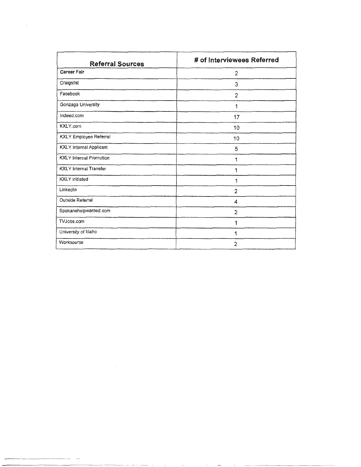| <b>Referral Sources</b>        | # of Interviewees Referred |
|--------------------------------|----------------------------|
| Career Fair                    | $\overline{2}$             |
| Craigslist                     | 3                          |
| Facebook                       | $\overline{2}$             |
| Gonzaga University             | 1                          |
| Indeed.com                     | 17                         |
| KXLY.com                       | 10                         |
| <b>KXLY Employee Referral</b>  | 10                         |
| <b>KXLY</b> Internal Applicant | 5                          |
| <b>KXLY</b> Internal Promotion | 1                          |
| <b>KXLY</b> Internal Transfer  | 1                          |
| <b>KXLY</b> initiated          | 1                          |
| LinkedIn                       | 2                          |
| Outside Referral               | 4                          |
| Spokanehelpwanted.com          | $\overline{2}$             |
| TVJobs.com                     | 1                          |
| University of Idaho            | 1                          |
| Worksource                     | $\overline{2}$             |

- --- - -----

 $\label{eq:2.1} \frac{1}{\sqrt{2}}\int_{\mathbb{R}^3}\frac{1}{\sqrt{2}}\left(\frac{1}{\sqrt{2}}\right)^2\left(\frac{1}{\sqrt{2}}\right)^2\left(\frac{1}{\sqrt{2}}\right)^2\left(\frac{1}{\sqrt{2}}\right)^2.$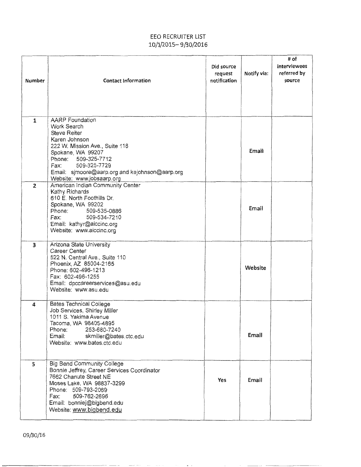## EEO RECRUITER LIST 10/1/2015- 9/30/2016

| Number                  | <b>Contact Information</b>                                                                                                                                                                                                                                             | Did source<br>request<br>notification | Notify via: | # of<br>interviewees<br>referred by<br>source |
|-------------------------|------------------------------------------------------------------------------------------------------------------------------------------------------------------------------------------------------------------------------------------------------------------------|---------------------------------------|-------------|-----------------------------------------------|
| 1                       | <b>AARP</b> Foundation<br>Work Search<br><b>Steve Reiter</b><br>Karen Johnson<br>222 W. Mission Ave., Suite 118<br>Spokane, WA 99207<br>Phone: 509-325-7712<br>509-325-7729<br>Fax: Fax<br>Email: sjmoore@aarp.org and kejohnson@aarp.org<br>Website: www.jobsaarp.org |                                       | Email       |                                               |
| $\overline{2}$          | American Indian Community Center<br>Kathy Richards<br>610 E. North Foothills Dr.<br>Spokane, WA 99202<br>Phone:<br>509-535-0886<br>509-534-7210<br>Fax:<br>Email: kathyr@aiccinc.org<br>Website: www.aiccinc.org                                                       |                                       | Email       |                                               |
| $\overline{\mathbf{3}}$ | Arizona State University<br>Career Center<br>522 N. Central Ave., Suite 110<br>Phoenix, AZ 85004-2165<br>Phone: 602-496-1213<br>Fax: 602-496-1255<br>Email: dpccareerservices@asu.edu<br>Website: www.asu.edu                                                          |                                       | Website     |                                               |
| 4                       | <b>Bates Technical College</b><br>Job Services, Shirley Miller<br>1011 S. Yakima Avenue<br>Tacoma, WA 98405-4895<br>Phone:<br>253-680-7240<br>Email: skmiller@bates.ctc.edu<br>Website: www.bates.ctc.edu                                                              |                                       | Email       |                                               |
| 5                       | <b>Big Bend Community College</b><br>Bonnie Jeffrey, Career Services Coordinator<br>7662 Chanute Street NE<br>Moses Lake, WA 98837-3299<br>Phone: 509-793-2069<br>Fax:<br>509-762-2696<br>Email: bonniej@bigbend.edu<br>Website: www.bigbend.edu                       | Yes                                   | Email       |                                               |

المعادل والمستندر ومستحسبات المستنقل والمستنقل

 $\sim$   $\sim$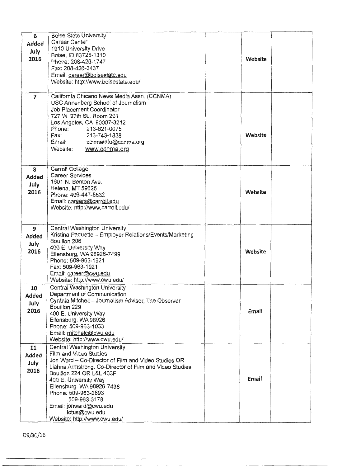| 6              | <b>Boise State University</b>                                                       |              |  |
|----------------|-------------------------------------------------------------------------------------|--------------|--|
| Added          | Career Center                                                                       |              |  |
| July           | 1910 University Drive                                                               |              |  |
| 2016           | Boise, ID 83725-1310                                                                | Website      |  |
|                | Phone: 208-426-1747                                                                 |              |  |
|                | Fax: 208-426-3437                                                                   |              |  |
|                | Email: career@boisestate.edu                                                        |              |  |
|                | Website: http://www.boisestate.edu/                                                 |              |  |
|                |                                                                                     |              |  |
| $\overline{7}$ | California Chicano News Media Assn. (CCNMA)                                         |              |  |
|                | USC Annenberg School of Journalism                                                  |              |  |
|                | Job Placement Coordinator<br>727 W. 27th St., Room 201                              |              |  |
|                | Los Angeles, CA 90007-3212                                                          |              |  |
|                | Phone:<br>213-821-0075                                                              |              |  |
|                | Fax:<br>213-743-1838                                                                | Website      |  |
|                | Email:<br>ccnmainfo@ccnma.org                                                       |              |  |
|                | Website:<br>www.ccnma.org                                                           |              |  |
|                |                                                                                     |              |  |
|                |                                                                                     |              |  |
| 8              | Carroll College                                                                     |              |  |
| Added          | <b>Career Services</b>                                                              |              |  |
| July           | 1601 N. Benton Ave.                                                                 |              |  |
| 2016           | Helena, MT 59625                                                                    | Website      |  |
|                | Phone: 406-447-5532                                                                 |              |  |
|                | Email: careers@carroll.edu<br>Website: http://www.carroll.edu/                      |              |  |
|                |                                                                                     |              |  |
|                |                                                                                     |              |  |
| 9              | Central Washington University                                                       |              |  |
| Added          | Kristina Paquette - Employer Relations/Events/Marketing                             |              |  |
| July           | Bouillon 206                                                                        |              |  |
| 2016           | 400 E. University Way                                                               | Website      |  |
|                | Ellensburg, WA 98926-7499                                                           |              |  |
|                | Phone: 509-963-1921                                                                 |              |  |
|                | Fax: 509-963-1921                                                                   |              |  |
|                | Email: career@cwu.edu<br>Website: http://www.cwu.edu/                               |              |  |
|                | Central Washington University                                                       |              |  |
| 10             | Department of Communication                                                         |              |  |
| hehhA          | Cynthia Mitchell -- Journalism Advisor, The Observer                                |              |  |
| July           | Bouillon 229                                                                        |              |  |
| 2016           | 400 E. University Way                                                               | <b>Email</b> |  |
|                | Ellensburg, WA 98926                                                                |              |  |
|                | Phone: 509-963-1063                                                                 |              |  |
|                | Email: mitchelc@cwu.edu                                                             |              |  |
|                | Website: http://www.cwu.edu/                                                        |              |  |
| 11             | Central Washington University                                                       |              |  |
| Added          | Film and Video Studies                                                              |              |  |
| July           | Jon Ward - Co-Director of Film and Video Studies OR                                 |              |  |
| 2016           | Liahna Armstrong, Co-Director of Film and Video Studies<br>Bouillon 224 OR L&L 403F |              |  |
|                | 400 E. University Way                                                               | Email        |  |
|                | Ellensburg, WA 98926-7438                                                           |              |  |
|                | Phone: 509-963-2893                                                                 |              |  |
|                | 509-963-3178                                                                        |              |  |
|                | Email: jonward@cwu.edu                                                              |              |  |
|                | lotus@cwu.edu                                                                       |              |  |
|                | Website: http://www.cwu.edu/                                                        |              |  |

 $\mathcal{L}^{\mathcal{A}}$  , and  $\mathcal{L}^{\mathcal{A}}$  , and  $\mathcal{L}^{\mathcal{A}}$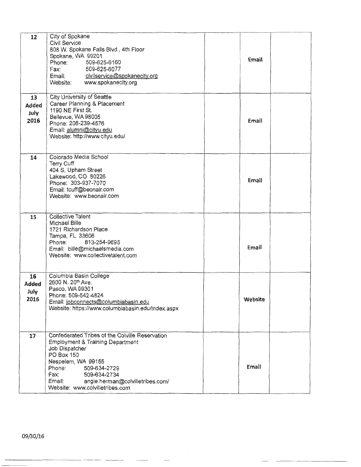| 12                                 | City of Spokane<br>Civil Service<br>808 W. Spokane Falls Blvd., 4th Floor<br>Spokane, WA 99201<br>Phone:<br>509-625-6160<br>509-625-6077<br>Fax:<br>Email: civilservice@spokanecity.org<br>Website:<br>www.spokanecity.org                                                              | Email   |  |
|------------------------------------|-----------------------------------------------------------------------------------------------------------------------------------------------------------------------------------------------------------------------------------------------------------------------------------------|---------|--|
| 13<br>Added<br>July<br>2016        | City University of Seattle<br>Career Planning & Placement<br>1190 NE First St.<br>Bellevue, WA 98005<br>Phone: 206-239-4576<br>Email: alumni@cityu.edu<br>Website: http://www.cityu.edu/                                                                                                | Email   |  |
| 14                                 | Colorado Media School<br>Terry Cuff<br>404 S. Upham Street<br>Lakewood, CO 80226<br>Phone: 303-937-7070<br>Email: tcuff@beonair.com<br>Website: www.beonair.com                                                                                                                         | Email   |  |
| 15                                 | <b>Collective Talent</b><br>Michael Bille<br>1721 Richardson Place<br>Tampa, FL 33606<br>813-254-9695<br>Phone:<br>Email: bille@michaelsmedia.com<br>Website: www.collectivetalent.com                                                                                                  | Email   |  |
| 16<br><b>Added</b><br>July<br>2016 | Columbia Basin College<br>2600 N. 20th Ave.<br>Pasco, WA 99301<br>Phone: 509-542-4824<br>Email: jobconnects@columbiabasin.edu<br>Website: https://www.columbiabasin.edu/index.aspx                                                                                                      | Website |  |
| 17                                 | Confederated Tribes of the Colville Reservation<br><b>Employment &amp; Training Department</b><br>Job Dispatcher<br>PO Box 150<br>Nespelem, WA 99155<br>Phone:<br>509-634-2729<br>Fax:<br>509-634-2734<br>Email:<br>angie.herman@colvilletribes.com/<br>Website: www.colvilletribes.com | Email   |  |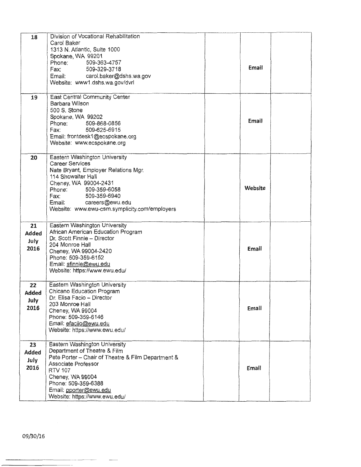| 18           | Division of Vocational Rehabilitation<br>Carol Baker<br>1313 N. Atlantic, Suite 1000<br>Spokane, WA 99201 |         |  |
|--------------|-----------------------------------------------------------------------------------------------------------|---------|--|
|              | Phone:<br>509-363-4757                                                                                    |         |  |
|              | Fax:<br>509-329-3718<br>Email: carol.baker@dshs.wa.gov                                                    | Email   |  |
|              | Website: www1.dshs.wa.gov/dvrl                                                                            |         |  |
|              |                                                                                                           |         |  |
| 19           | East Central Community Center<br>Barbara Wilson                                                           |         |  |
|              | 500 S. Stone                                                                                              |         |  |
|              | Spokane, WA 99202                                                                                         | Email   |  |
|              | Phone:<br>509-868-0856<br>509-625-6915<br>Fax:                                                            |         |  |
|              | Email: frontdesk1@ecspokane.org                                                                           |         |  |
|              | Website: www.ecspokane.org                                                                                |         |  |
| 20           | Eastern Washington University                                                                             |         |  |
|              | <b>Career Services</b>                                                                                    |         |  |
|              | Nate Bryant, Employer Relations Mgr.<br>114 Showalter Hall                                                |         |  |
|              | Cheney, WA 99004-2431                                                                                     |         |  |
|              | 509-359-6058<br>Phone:                                                                                    | Website |  |
|              | 509-359-6940<br>Fax:                                                                                      |         |  |
|              | Email: careers@ewu.edu<br>Website: www.ewu-csm.symplicity.com/employers                                   |         |  |
|              |                                                                                                           |         |  |
| 21           | Eastern Washington University                                                                             |         |  |
| <b>Added</b> | African American Education Program<br>Dr. Scott Finnie - Director                                         |         |  |
| July         | 204 Monroe Hall                                                                                           |         |  |
| 2016         | Cheney, WA 99004-2420                                                                                     | Email   |  |
|              | Phone: 509-359-6152                                                                                       |         |  |
|              | Email: sfinnie@ewu.edu<br>Website: https://www.ewu.edu/                                                   |         |  |
|              |                                                                                                           |         |  |
| 22           | Eastern Washington University                                                                             |         |  |
| <b>Added</b> | Chicano Education Program<br>Dr. Elisa Facio – Director                                                   |         |  |
| July         | 203 Monroe Hall                                                                                           |         |  |
| 2016         | Cheney, WA 99004                                                                                          | Email   |  |
|              | Phone: 509-359-6146<br>Email: efaciio@ewu.edu                                                             |         |  |
|              | Website: https://www.ewu.edu/                                                                             |         |  |
|              |                                                                                                           |         |  |
| 23           | Eastern Washington University<br>Department of Theatre & Film                                             |         |  |
| Added        | Pete Porter - Chair of Theatre & Film Department &                                                        |         |  |
| July<br>2016 | Associate Professor                                                                                       |         |  |
|              | <b>RTV 107</b>                                                                                            | Email   |  |
|              | Cheney, WA 99004<br>Phone: 509-359-6388                                                                   |         |  |
|              | Email: pporter@ewu.edu                                                                                    |         |  |
|              | Website: https://www.ewu.edu/                                                                             |         |  |

-- -- -----~-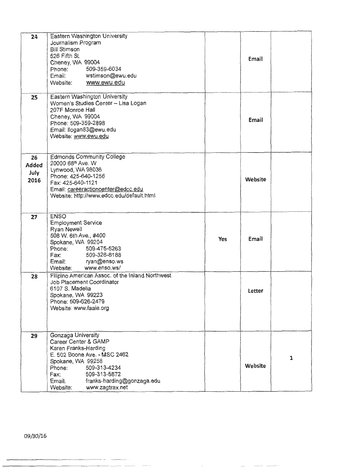| 24                                 | Eastern Washington University<br>Journalism Program<br><b>Bill Stimson</b><br>526 Fifth St.<br>Cheney, WA 99004<br>509-359-6034<br>Phone:<br>Email: wstimson@ewu.edu<br>Website: www.ewu.edu                                                     |            | Email   |              |
|------------------------------------|--------------------------------------------------------------------------------------------------------------------------------------------------------------------------------------------------------------------------------------------------|------------|---------|--------------|
| 25                                 | Eastern Washington University<br>Women's Studies Center - Lisa Logan<br>207F Monroe Hall<br>Cheney, WA 99004<br>Phone: 509-359-2898<br>Email: llogan83@ewu.edu<br>Website: www.ewu.edu                                                           |            | Email   |              |
| 26<br><b>Added</b><br>July<br>2016 | <b>Edmonds Community College</b><br>20000 68th Ave. W<br>Lynwood, WA 98036<br>Phone: 425-640-1256<br>Fax: 425-640-1121<br>Email: careeractioncenter@edcc.edu<br>Website: http://www.edcc.edu/default.html                                        |            | Website |              |
| 27                                 | <b>ENSO</b><br><b>Employment Service</b><br><b>Ryan Newell</b><br>508 W. 6th Ave., #400<br>Spokane, WA 99204<br>509-475-5263<br>Phone:<br>Fax: 509-326-8188<br>Email: ryan@enso.ws<br>Website:<br>www.enso.ws/                                   | <b>Yes</b> | Email   |              |
| 28                                 | Filipino American Assoc. of the Inland Northwest<br>Job Placement Coordinator<br>6107 S. Madelia<br>Spokane, WA 99223<br>Phone: 509-626-2479<br>Website: www.faaie.org                                                                           |            | Letter  |              |
| 29                                 | Gonzaga University<br>Career Center & GAMP<br>Karen Franks-Harding<br>E. 502 Boone Ave. - MSC 2462<br>Spokane, WA 99258<br>Phone:<br>509-313-4234<br>509-313-5872<br>Fax:<br>franks-harding@gonzaga.edu<br>Email:<br>www.zagtrax.net<br>Website: |            | Website | $\mathbf{1}$ |

--- ------------ - -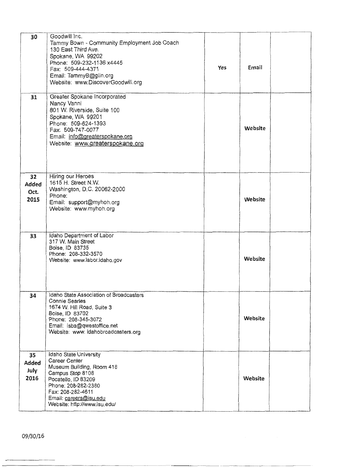| 30                          | Goodwill Inc.<br>Tammy Bown - Community Employment Job Coach<br>130 East Third Ave.<br>Spokane, WA 99202<br>Phone: 509-232-1136 x4445<br>Fax: 509-444-4371<br>Email: TammyB@giin.org<br>Website: www.DiscoverGoodwill.org | Yes | Email   |  |
|-----------------------------|---------------------------------------------------------------------------------------------------------------------------------------------------------------------------------------------------------------------------|-----|---------|--|
| 31                          | Greater Spokane Incorporated<br>Nancy Vanni<br>801 W. Riverside, Suite 100<br>Spokane, WA 99201<br>Phone: 509-624-1393<br>Fax: 509-747-0077<br>Email: info@greaterspokane.org<br>Website: www.greaterspokane.org          |     | Website |  |
| 32<br>Added<br>Oct.<br>2015 | Hiring our Heroes<br>1615 H. Street N.W.<br>Washington, D.C. 20062-2000<br>Phone:<br>Email: support@myhoh.org<br>Website: www.myhoh.org                                                                                   |     | Website |  |
| 33                          | Idaho Department of Labor<br>317 W. Main Street<br>Boise, ID 83735<br>Phone: 208-332-3570<br>Website: www.labor.idaho.gov                                                                                                 |     | Website |  |
| 34                          | Idaho State Association of Broadcasters<br><b>Connie Searles</b><br>1674 W. Hill Road, Suite 3<br>Boise, ID 83702<br>Phone: 208-345-3072<br>Email: isba@qwestoffice.net<br>Website: www.idahobroadcasters.org             |     | Website |  |
| 35<br>Added<br>July<br>2016 | Idaho State University<br>Career Center<br>Museum Building, Room 418<br>Campus Stop 8108<br>Pocatello, ID 83209<br>Phone: 208-282-2380<br>Fax: 208-282-4611<br>Email: careers@isu.edu<br>Website: http://www.isu.edu/     |     | Website |  |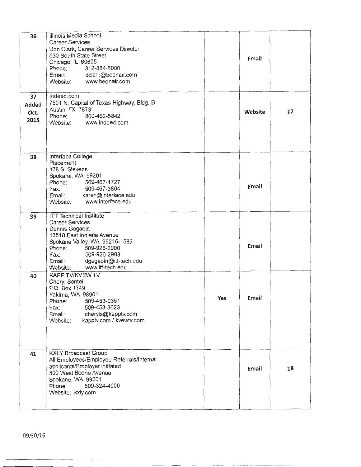| 36<br>37<br>Added<br>Oct.<br>2015 | Illinois Media School<br><b>Career Services</b><br>Don Clark, Career Services Director<br>530 South State Street<br>Chicago, IL 60605<br>312-884-8000<br>Phone:<br>Email: dclark@beonair.com<br>Website: www.beonair.com<br>Indeed.com<br>7501 N. Capital of Texas Highway, Bidg. B<br>Austin, TX 78731<br>800-462-5842<br>Phone:<br>Website: www.indeed.com |     | Email<br>Website | 17 |
|-----------------------------------|--------------------------------------------------------------------------------------------------------------------------------------------------------------------------------------------------------------------------------------------------------------------------------------------------------------------------------------------------------------|-----|------------------|----|
|                                   |                                                                                                                                                                                                                                                                                                                                                              |     |                  |    |
| 38                                | Interface College<br>Placement<br>178 S. Stevens<br>Spokane, WA 99201<br>509-467-1727<br>Phone:<br>509-467-3804<br>Fax:<br>Email: karen@interface.edu<br>www.interface.edu<br>Website:                                                                                                                                                                       |     | Email            |    |
| 39                                | <b>ITT Technical Institute</b><br><b>Career Services</b><br>Dennis Gagaoin<br>13518 East Indiana Avenue<br>Spokane Valley, WA 99216-1589<br>Phone: 509-926-2900<br>Fax: 509-926-2908<br>Email: dgagaoin@itt-tech.edu<br>Website: www.itt-tech.edu                                                                                                            |     | Email            |    |
| 40                                | <b>KAPP TV/KVEW TV</b><br>Cheryl Sentel<br>P.O. Box 1749<br>Yakima, WA 98901<br>509-453-0351<br>Phone:<br>509-453-3623<br>Fax:<br>cheryls@kapptv.com<br>Email:<br>kapptv.com / kvewtv.com<br>Website:                                                                                                                                                        | Yes | Email            |    |
| 41                                | <b>KXLY Broadcast Group</b><br>All Employees/Employee Referrals/Internal<br>applicants/Employer initiated<br>500 West Boone Avenue<br>Spokane, WA 99201<br>Phone:<br>509-324-4000<br>Website: kxly.com                                                                                                                                                       |     | Email            | 18 |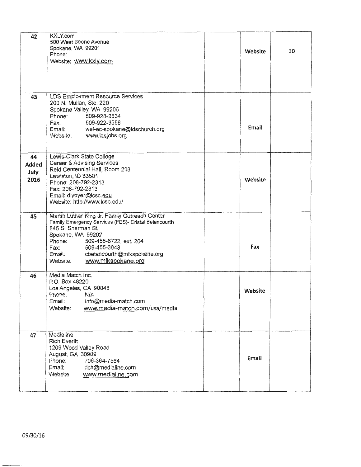| 42           | <b>KXLY.com</b><br>500 West Boone Avenue                                   |         |    |
|--------------|----------------------------------------------------------------------------|---------|----|
|              | Spokane, WA 99201                                                          |         |    |
|              | Phone:                                                                     | Website | 10 |
|              | Website: www.kxly.com                                                      |         |    |
|              |                                                                            |         |    |
|              |                                                                            |         |    |
|              |                                                                            |         |    |
| 43           | LDS Employment Resource Services<br>200 N. Mullan, Ste. 220                |         |    |
|              | Spokane Valley, WA 99206                                                   |         |    |
|              | Phone: 509-928-2534                                                        |         |    |
|              | 509-922-3556<br>Fax:<br>Email: wel-ec-spokane@ldschurch.org                | Email   |    |
|              | Website: www.ldsjobs.org                                                   |         |    |
|              |                                                                            |         |    |
| 44           | Lewis-Clark State College                                                  |         |    |
| <b>Added</b> | <b>Career &amp; Advising Services</b>                                      |         |    |
| July         | Reid Centennial Hall, Room 208                                             |         |    |
| 2016         | Lewiston, ID 83501<br>Phone: 208-792-2313                                  | Website |    |
|              | Fax: 208-792-2313                                                          |         |    |
|              | Email: dlybyer@lcsc.edu                                                    |         |    |
|              | Website: http://www.lcsc.edu/                                              |         |    |
| 45           | Martin Luther King Jr. Family Outreach Center                              |         |    |
|              | Family Emergency Services (FES)- Cristal Betancourth<br>845 S. Sherman St. |         |    |
|              | Spokane, WA 99202                                                          |         |    |
|              | Phone:<br>509-455-8722, ext. 204                                           |         |    |
|              | 509-455-3643<br>Fax:<br>cbetancourth@mlkspokane.org<br>Email:              | Fax     |    |
|              | www.mlkspokane.org<br>Website:                                             |         |    |
|              |                                                                            |         |    |
| 46           | Media Match Inc.<br>P.O. Box 48220                                         |         |    |
|              | Los Angeles, CA 90048                                                      |         |    |
|              | Phone:<br>N/A                                                              | Website |    |
|              | Email:<br>info@media-match.com                                             |         |    |
|              | www.media-match.com/usa/media<br>Website:                                  |         |    |
|              |                                                                            |         |    |
| 47           | Medialine                                                                  |         |    |
|              | <b>Rich Everitt</b>                                                        |         |    |
|              | 1209 Wood Valley Road                                                      |         |    |
|              | August, GA 30909<br>Phone:<br>706-364-7564                                 | Email   |    |
|              | Email:<br>rich@medialine.com                                               |         |    |
|              | www.medialine.com<br>Website:                                              |         |    |
|              |                                                                            |         |    |
|              |                                                                            |         |    |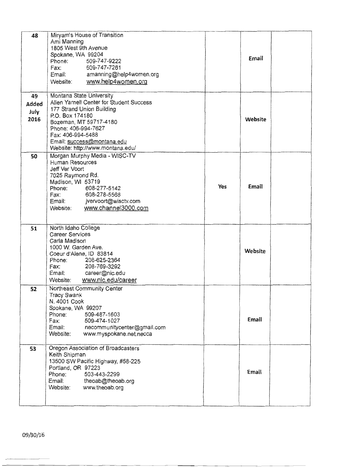| 48          | Miryam's House of Transition<br>Ami Manning<br>1805 West 9th Avenue<br>Spokane, WA 99204 |     |         |  |
|-------------|------------------------------------------------------------------------------------------|-----|---------|--|
|             | 509-747-9222<br>Phone:<br>509-747-7261<br>Fax:                                           |     | Email   |  |
|             | amanning@help4women.org<br>Email:<br>www.help4women.org<br>Website:                      |     |         |  |
| 49<br>Added | Montana State University<br>Allen Yarnell Center for Student Success                     |     |         |  |
| July        | 177 Strand Union Building<br>P.O. Box 174180                                             |     |         |  |
| 2016        | Bozeman, MT 59717-4180                                                                   |     | Website |  |
|             | Phone: 406-994-7627<br>Fax: 406-994-5488                                                 |     |         |  |
|             | Email: success@montana.edu<br>Website: http://www.montana.edu/                           |     |         |  |
| 50          | Morgan Murphy Media - WISC-TV<br>Human Resources                                         |     |         |  |
|             | Jeff Ver Voort                                                                           |     |         |  |
|             | 7025 Raymond Rd.<br>Madison, WI 53719                                                    | Yes | Email   |  |
|             | 608-277-5142<br>Phone:<br>608-278-5568<br>Fax:                                           |     |         |  |
|             | Email:<br>jvervoort@wisctv.com<br>www.channel3000.com<br>Website:                        |     |         |  |
|             |                                                                                          |     |         |  |
| 51          | North Idaho College<br><b>Career Services</b>                                            |     |         |  |
|             | Carla Madison<br>1000 W. Garden Ave.                                                     |     |         |  |
|             | Coeur d'Alene, ID 83814                                                                  |     | Website |  |
|             | 208-625-2364<br>Phone:<br>208-769-3292<br>Fax:                                           |     |         |  |
|             | career@nic.edu<br>Email:<br>www.nic.edu/career<br>Website:                               |     |         |  |
| 52          | Northeast Community Center                                                               |     |         |  |
|             | Tracy Swank<br>N. 4001 Cook                                                              |     |         |  |
|             | Spokane, WA 99207<br>Phone:<br>509-487-1603                                              |     |         |  |
|             | Fax:<br>509-474-1027<br>Email:<br>necommunitycenter@gmail.com                            |     | Email   |  |
|             | Website:<br>www.myspokane.net.necca                                                      |     |         |  |
| 53          | Oregon Association of Broadcasters                                                       |     |         |  |
|             | Keith Shipman<br>13500 SW Pacific Highway, #58-225                                       |     |         |  |
|             | Portland, OR 97223<br>503-443-2299<br>Phone:                                             |     | Email   |  |
|             | Email:<br>theoab@theoab.org<br>Website:<br>www.theoab.org                                |     |         |  |
|             |                                                                                          |     |         |  |
|             |                                                                                          |     |         |  |

09/30/1'6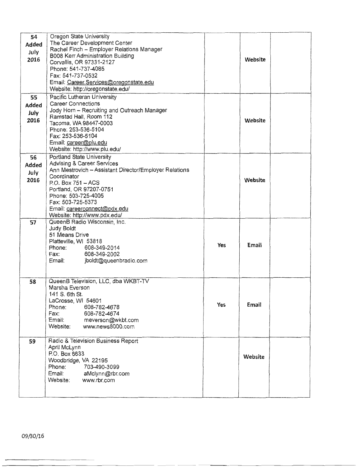| 54<br><b>Added</b><br>July<br>2016 | Oregon State University<br>The Career Development Center<br>Rachel Finch - Employer Relations Manager<br>B008 Kerr Administration Building<br>Corvallis, OR 97331-2127<br>Phone: 541-737-4085<br>Fax: 541-737-0532<br>Email: Career.Services@oregonstate.edu<br>Website: http://oregonstate.edu/             |     | Website |  |
|------------------------------------|--------------------------------------------------------------------------------------------------------------------------------------------------------------------------------------------------------------------------------------------------------------------------------------------------------------|-----|---------|--|
| 55<br>Added<br>July<br>2016        | Pacific Lutheran University<br><b>Career Connections</b><br>Jody Horn - Recruiting and Outreach Manager<br>Ramstad Hall, Room 112<br>Tacoma, WA 98447-0003<br>Phone: 253-536-5104<br>Fax: 253-536-5104<br>Email: career@plu.edu<br>Website: http://www.plu.edu/                                              |     | Website |  |
| 56<br>Added<br>July<br>2016        | Portland State University<br><b>Advising &amp; Career Services</b><br>Ann Mestrovich - Assistant Director/Employer Relations<br>Coordinator<br>$P.O.$ Box $751 - ACS$<br>Portland, OR 97207-0751<br>Phone: 503-725-4005<br>Fax: 503-725-5373<br>Email: careerconnect@pdx.edu<br>Website: http://www.pdx.edu/ |     | Website |  |
| 57                                 | QueenB Radio Wisconsin, Inc.<br>Judy Boldt<br>51 Means Drive<br>Platteville, WI 53818<br>Phone:<br>608-349-2014<br>Fax:<br>608-349-2002<br>jboldt@queenbradio.com<br>Email:                                                                                                                                  | Yes | Email   |  |
| 58                                 | QueenB Television, LLC, dba WKBT-TV<br>Marsha Everson<br>141 S. 6th St.<br>LaCrosse, WI 54601<br>Phone:<br>608-782-4678<br>Fax:<br>608-782-4674<br>Email:<br>meverson@wkbt.com<br>Website:<br>www.news8000.com                                                                                               | Yes | Email   |  |
| 59                                 | Radio & Television Business Report<br>April McLynn<br>P.O. Box 6633<br>Woodbridge, VA 22195<br>Phone:<br>703-490-3099<br>Email:<br>aMclynn@rbr.com<br>Website: www.rbr.com                                                                                                                                   |     | Website |  |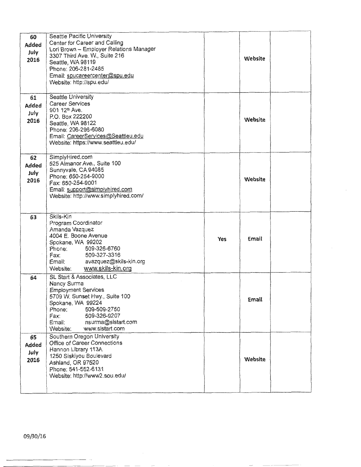| 60<br>Added<br>July<br>2016<br>61 | Seattle Pacific University<br>Center for Career and Calling<br>Lori Brown - Employer Relations Manager<br>3307 Third Ave. W., Suite 216<br>Seattle, WA 98119<br>Phone: 206-281-2485<br>Email: spucareercenter@spu.edu<br>Website: http://spu.edu/<br>Seattle University |     | Website |  |
|-----------------------------------|-------------------------------------------------------------------------------------------------------------------------------------------------------------------------------------------------------------------------------------------------------------------------|-----|---------|--|
| Added<br>July<br>2016             | <b>Career Services</b><br>901 12th Ave.<br>P.O. Box 222200<br>Seattle, WA 98122<br>Phone: 206-296-6080<br>Email: CareerServices@Seattleu.edu<br>Website: https://www.seattleu.edu/                                                                                      |     | Website |  |
| 62<br>Added<br>July<br>2016       | SimplyHired.com<br>525 Almanor Ave., Suite 100<br>Sunnyvale, CA 94085<br>Phone: 650-254-9000<br>Fax: 650-254-9001<br>Email: support@simplyhired.com<br>Website: http://www.simplyhired.com/                                                                             |     | Website |  |
| 63                                | Skils-Kin<br>Program Coordinator<br>Amanda Vazquez<br>4004 E. Boone Avenue<br>Spokane, WA 99202<br>509-326-6760<br>Phone:<br>509-327-3316<br>Fax:<br>avazquez@skils-kin.org<br>Email:<br>www.skils-kin.org<br>Website:                                                  | Yes | Email   |  |
| 64                                | SL Start & Associates, LLC<br>Nancy Surma<br><b>Employment Services</b><br>5709 W. Sunset Hwy., Suite 100<br>Spokane, WA 99224<br>Phone:<br>509-509-2750<br>509-326-9207<br>Fax:<br>Email:<br>nsurma@sistart.com<br>www.sistart.com<br>Website:                         |     | Email   |  |
| 65<br>Added<br>July<br>2016       | Southern Oregon University<br>Office of Career Connections<br>Hannon Library 113A<br>1250 Siskiyou Boulevard<br>Ashland, OR 97520<br>Phone: 541-552-6131<br>Website: http://www2.sou.edu/                                                                               |     | Website |  |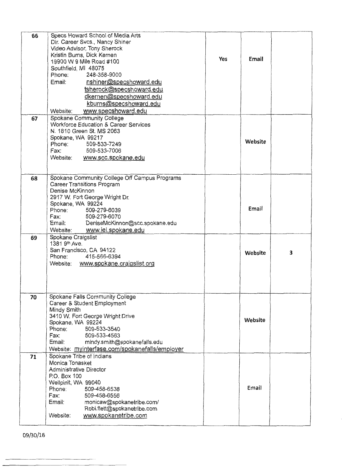| 66 | Specs Howard School of Media Arts                     |            |         |   |
|----|-------------------------------------------------------|------------|---------|---|
|    | Dir. Career Svcs., Nancy Shiner                       |            |         |   |
|    | Video Advisor, Tony Sherock                           |            |         |   |
|    | Kristin Burns, Dick Kernen                            | <b>Yes</b> | Email   |   |
|    | 19900 W 9 Mile Road #100                              |            |         |   |
|    | Southfield, MI 48075                                  |            |         |   |
|    | Phone:<br>248-358-9000                                |            |         |   |
|    | Email:<br>nshiner@specshoward.edu                     |            |         |   |
|    | tsherock@specshoward.edu                              |            |         |   |
|    | dkernen@specshoward.edu                               |            |         |   |
|    | kburns@specshoward.edu                                |            |         |   |
|    | www.specshoward.edu<br>Website:                       |            |         |   |
| 67 | Spokane Community College                             |            |         |   |
|    | Workforce Education & Career Services                 |            |         |   |
|    | N. 1810 Green St. MS 2063                             |            |         |   |
|    | Spokane, WA 99217                                     |            | Website |   |
|    | 509-533-7249<br>Phone:                                |            |         |   |
|    | 509-533-7006<br>Fax:                                  |            |         |   |
|    | Website: www.scc.spokane.edu                          |            |         |   |
|    |                                                       |            |         |   |
|    |                                                       |            |         |   |
| 68 | Spokane Community College Off Campus Programs         |            |         |   |
|    | Career Transitions Program                            |            |         |   |
|    | Denise McKinnon                                       |            |         |   |
|    | 2917 W. Fort George Wright Dr.                        |            |         |   |
|    | Spokane, WA 99224<br>509-279-6039<br>Phone:           |            | Email   |   |
|    | Fax:<br>509-279-6070                                  |            |         |   |
|    | DeniseMcKinnon@scc.spokane.edu<br>Email:              |            |         |   |
|    | www.iel.spokane.edu<br>Website:                       |            |         |   |
| 69 | Spokane Craigslist                                    |            |         |   |
|    | 1381 9th Ave.                                         |            |         |   |
|    | San Francisco, CA 94122                               |            | Website | 3 |
|    | 415-566-6394<br>Phone:                                |            |         |   |
|    | Website: www.spokane.craigslist.org                   |            |         |   |
|    |                                                       |            |         |   |
|    |                                                       |            |         |   |
|    |                                                       |            |         |   |
|    |                                                       |            |         |   |
| 70 | Spokane Falls Community College                       |            |         |   |
|    | Career & Student Employment                           |            |         |   |
|    | Mindy Smith                                           |            |         |   |
|    | 3410 W. Fort George Wright Drive<br>Spokane, WA 99224 |            | Website |   |
|    | Phone:<br>509-533-3540                                |            |         |   |
|    | Fax:<br>509-533-4563                                  |            |         |   |
|    | Email:<br>mindy.smith@spokanefalls.edu                |            |         |   |
|    | Website: myinterfase.com/spokanefalls/employer        |            |         |   |
| 71 | Spokane Tribe of Indians                              |            |         |   |
|    | Monica Tonasket                                       |            |         |   |
|    | Administrative Director                               |            |         |   |
|    | P.O. Box 100                                          |            |         |   |
|    | Wellpinit, WA 99040                                   |            |         |   |
|    | Phone:<br>509-458-6538                                |            | Email   |   |
|    | Fax:<br>509-458-6556                                  |            |         |   |
|    | Email:<br>monicaw@spokanetribe.com/                   |            |         |   |
|    | Robi.flett@spokanetribe.com                           |            |         |   |
|    |                                                       |            |         |   |
|    | www.spokanetribe.com<br>Website:                      |            |         |   |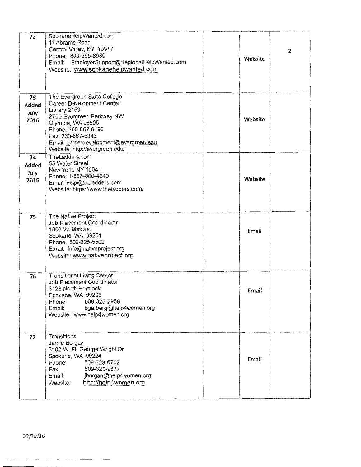| 72                          | SpokaneHelpWanted.com<br>11 Abrams Road<br>Central Valley, NY 10917<br>Phone: 800-365-8630<br>Email: EmployerSupport@RegionalHelpWanted.com<br>Website: www.spokanehelpwanted.com                                                                  | Website | 2 |
|-----------------------------|----------------------------------------------------------------------------------------------------------------------------------------------------------------------------------------------------------------------------------------------------|---------|---|
| 73<br>Added<br>July<br>2016 | The Evergreen State College<br>Career Development Center<br>Library 2153<br>2700 Evergreen Parkway NW<br>Olympia, WA 98505<br>Phone: 360-867-6193<br>Fax: 360-867-5343<br>Email: careerdevelopment@evergreen.edu<br>Website: http://evergreen.edu/ | Website |   |
| 74<br>Added<br>July<br>2016 | TheLadders.com<br>55 Water Street<br>New York, NY 10041<br>Phone: 1-866-800-4640<br>Email: help@theladders.com<br>Website: https://www.theladders.com/                                                                                             | Website |   |
| 75                          | The Native Project<br>Job Placement Coordinator<br>1803 W. Maxwell<br>Spokane, WA 99201<br>Phone: 509-325-5502<br>Email: info@nativeproject.org<br>Website: www.nativeproject.org                                                                  | Email   |   |
| 76                          | <b>Transitional Living Center</b><br>Job Placement Coordinator<br>3128 North Hemlock<br>Spokane, WA 99205<br>509-325-2959<br>Phone:<br>bgarberg@help4women.org<br>Email:<br>Website: www.help4women.org                                            | Email   |   |
| 77                          | Transitions<br>Jamie Borgan<br>3102 W. Ft. George Wright Dr.<br>Spokane, WA 99224<br>509-328-6702<br>Phone:<br>509-325-9877<br>Fax:<br>Email:<br>jborgan@help4women.org<br>http://help4women.org<br>Website:                                       | Email   |   |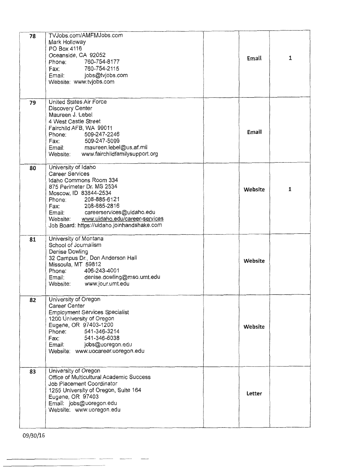| 78 | TVJobs.com/AMFMJobs.com<br>Mark Holloway<br>PO Box 4116<br>Oceanside, CA 92052<br>760-754-8177<br>Phone:<br>Fax: 760-754-2115<br>Email: jobs@tvjobs.com<br>Website: www.tvjobs.com                                                                                                                      | Email   | $\mathbf{1}$ |
|----|---------------------------------------------------------------------------------------------------------------------------------------------------------------------------------------------------------------------------------------------------------------------------------------------------------|---------|--------------|
| 79 | United States Air Force<br>Discovery Center<br>Maureen J. Lebel<br>4 West Castle Street<br>Fairchild AFB, WA 99011<br>509-247-2246<br>Phone:<br>Fax: 509-247-5099<br>Email: maureen.lebel@us.af.mil<br>Website: www.fairchildfamilysupport.org                                                          | Email   |              |
| 80 | University of Idaho<br><b>Career Services</b><br>Idaho Commons Room 334<br>875 Perimeter Dr. MS 2534<br>Moscow, ID 83844-2534<br>Phone: 208-885-6121<br>Fax: 208-885-2816<br>Email: careerservices@uidaho.edu<br>Website: www.uidaho.edu/career-services<br>Job Board: https://uidaho.joinhandshake.com | Website | 1            |
| 81 | University of Montana<br>School of Journalism<br>Denise Dowling<br>32 Campus Dr., Don Anderson Hall<br>Missoula, MT 59812<br>Phone: 406-243-4001<br>Email: denise.dowling@mso.umt.edu<br>Website: www.jour.umt.edu                                                                                      | Website |              |
| 82 | University of Oregon<br>Career Center<br><b>Employment Services Specialist</b><br>1200 University of Oregon<br>Eugene, OR 97403-1200<br>Phone: 541-346-3214<br>Fax: 541-346-6038<br>Email: jobs@uoregon.edu<br>Website: www.uocareer.uoregon.edu                                                        | Website |              |
| 83 | University of Oregon<br>Office of Multicultural Academic Success<br>Job Placement Coordinator<br>1255 University of Oregon, Suite 164<br>Eugene, OR 97403<br>Email: jobs@uoregon.edu<br>Website: www.uoregon.edu                                                                                        | Letter  |              |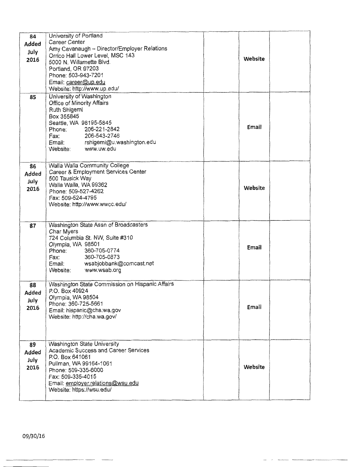| 84<br><b>Added</b><br>July<br>2016 | University of Portland<br>Career Center<br>Amy Cavanaugh - Director/Employer Relations<br>Orrico Hall Lower Level, MSC 143<br>5000 N. Willamette Blvd.<br>Portland, OR 97203<br>Phone: 503-943-7201<br>Email: career@up.edu<br>Website: http://www.up.edu/ | Website |  |
|------------------------------------|------------------------------------------------------------------------------------------------------------------------------------------------------------------------------------------------------------------------------------------------------------|---------|--|
| 85                                 | University of Washington<br>Office of Minority Affairs<br>Ruth Shigemi<br>Box 355845<br>Seattle, WA 98195-5845<br>Phone: 206-221-2842<br>206-543-2746<br>Fax:<br>Email: rshigemi@u.washington.edu<br>Website: www.uw.edu                                   | Email   |  |
| 86<br><b>Added</b><br>July<br>2016 | Walla Walla Community College<br>Career & Employment Services Center<br>500 Tausick Way<br>Walla Walla, WA 99362<br>Phone: 509-527-4262<br>Fax: 509-524-4795<br>Website: http://www.wwcc.edu/                                                              | Website |  |
| 87                                 | Washington State Assn of Broadcasters<br>Char Myers<br>724 Columbia St. NW, Suite #310<br>Olympia, WA 98501<br>360-705-0774<br>Phone:<br>Fax: 360-705-0873<br>Email: wsabjobbank@comcast.net<br>Website: www.wsab.org                                      | Email   |  |
| 88<br>Added<br>July<br>2016        | Washington State Commission on Hispanic Affairs<br>P.O. Box 40924<br>Olympia, WA 98504<br>Phone: 360-725-5661<br>Email: hispanic@cha.wa.gov<br>Website: http://cha.wa.gov/                                                                                 | Email   |  |
| 89<br>Added<br>July<br>2016        | Washington State University<br>Academic Success and Career Services<br>P.O. Box 641061<br>Pullman, WA 99164-1061<br>Phone: 509-335-6000<br>Fax: 509-335-4015<br>Email: employer.relations@wsu.edu<br>Website: https://wsu.edu/                             | Website |  |

------ - --- - - -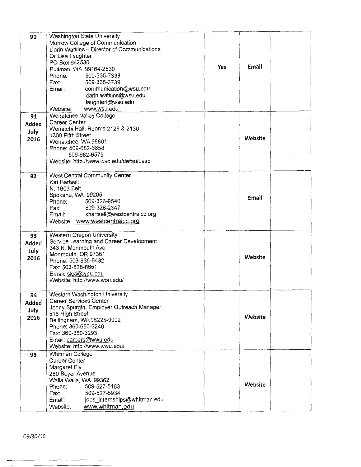| 90                                 | Washington State University<br>Murrow College of Communication<br>Darin Watkins - Director of Communications<br>Or Lisa Laughter<br>PO Box 642530<br>Pullman, WA 99164-2530<br>509-335-7333<br>Phone:<br>509-335-3739<br>Fax:<br>communication@wsu.edu<br>Email:<br>darin.watkins@wsu.edu<br>laughterl@wsu.edu<br>www.wsu.edu<br>Website: | Yes | Email   |  |
|------------------------------------|-------------------------------------------------------------------------------------------------------------------------------------------------------------------------------------------------------------------------------------------------------------------------------------------------------------------------------------------|-----|---------|--|
| 91<br><b>Added</b><br>July<br>2016 | Wenatchee Valley College<br>Career Center<br>Wenatchi Hall, Rooms 2128 & 2130<br>1300 Fifth Street<br>Wenatchee, WA 98801<br>Phone: 509-682-6858<br>509-682-6579<br>Website: http://www.wvc.edu/default.asp                                                                                                                               |     | Website |  |
| 92                                 | West Central Community Center<br>Kat Hartsell<br>N. 1603 Belt<br>Spokane, WA 99205<br>509-326-9540<br>Phone:<br>509-326-2347<br>Fax:<br>khartsell@westcentralcc.org<br>Email:<br>Website: www.westcentralcc.org                                                                                                                           |     | Email   |  |
| 93<br>Added<br>July<br>2016        | Western Oregon University<br>Service Learning and Career Development<br>343 N. Monmouth Ave.<br>Monmouth, OR 97361<br>Phone: 503-838-8432<br>Fax: 503-838-8651<br>Email: sicd@wou.edu<br>Website: http://www.wou.edu/                                                                                                                     |     | Website |  |
| 94<br>Added<br>July<br>2016        | Western Washington University<br>Career Services Center<br>Jenny Spurgin, Employer Outreach Manager<br>516 High Street<br>Bellingham, WA 98225-9002<br>Phone: 360-650-3240<br>Fax: 360-350-3293<br>Email: careers@wwu.edu<br>Website: http://www.wwu.edu/                                                                                 |     | Website |  |
| 95                                 | Whitman College<br>Career Center<br>Margaret Ely<br>280 Boyer Avenue<br>Walla Walla, WA 99362<br>509-527-5183<br>Phone:<br>Fax:<br>509-527-5934<br>jobs_internships@whitman.edu<br>Email:<br>www.whitman.edu<br>Website:                                                                                                                  |     | Website |  |

 $\overline{\phantom{a}}$ 

 $\sim$   $\sim$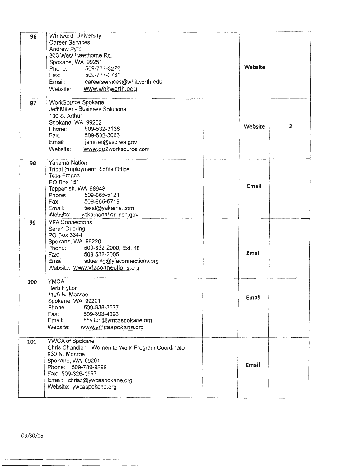| 96  | Whitworth University                                                     |         |                |
|-----|--------------------------------------------------------------------------|---------|----------------|
|     | <b>Career Services</b>                                                   |         |                |
|     | Andrew Pyrc                                                              |         |                |
|     | 300 West Hawthorne Rd.                                                   |         |                |
|     | Spokane, WA 99251                                                        | Website |                |
|     | Phone:<br>509-777-3272                                                   |         |                |
|     | Fax:<br>509-777-3731                                                     |         |                |
|     | Email: careerservices@whitworth.edu                                      |         |                |
|     | www.whitworth.edu<br>Website:                                            |         |                |
| 97  | WorkSource Spokane                                                       |         |                |
|     | Jeff Miller - Business Solutions                                         |         |                |
|     | 130 S. Arthur                                                            |         |                |
|     | Spokane, WA 99202                                                        | Website | $\overline{2}$ |
|     | 509-532-3136<br>Phone:                                                   |         |                |
|     | 509-532-3066<br>Fax:                                                     |         |                |
|     | Email: jemiller@esd.wa.gov<br>Website:                                   |         |                |
|     | www.go2worksource.com                                                    |         |                |
| 98  | Yakama Nation                                                            |         |                |
|     | Tribal Employment Rights Office                                          |         |                |
|     | <b>Tess French</b>                                                       |         |                |
|     | <b>PO Box 151</b><br>Toppenish, WA 98948                                 | Email   |                |
|     | Phone:<br>509-865-5121                                                   |         |                |
|     | Fax:<br>509-865-6719                                                     |         |                |
|     | Email: tessf@yakama.com                                                  |         |                |
|     | Website:<br>yakamanation-nsn.gov                                         |         |                |
| 99  | <b>YFA Connections</b>                                                   |         |                |
|     | Sarah Duering                                                            |         |                |
|     | PO Box 3344                                                              |         |                |
|     | Spokane, WA 99220                                                        |         |                |
|     | 509-532-2000, Ext. 18<br>Phone:                                          | Email   |                |
|     | 509-532-2005<br>Fax:                                                     |         |                |
|     | sduering@yfaconnections.org<br>Email:<br>Website: www.yfaconnections.org |         |                |
|     |                                                                          |         |                |
| 100 | <b>YMCA</b>                                                              |         |                |
|     | Herb Hylton                                                              |         |                |
|     | 1126 N. Monroe<br>Spokane, WA 99201                                      | Email   |                |
|     | Phone:<br>509-838-3577                                                   |         |                |
|     | 509-393-4096<br>Fax:                                                     |         |                |
|     | Email:<br>hhylton@ymcaspokane.org                                        |         |                |
|     | Website:<br>www.ymcaspokane.org                                          |         |                |
|     |                                                                          |         |                |
| 101 | YWCA of Spokane                                                          |         |                |
|     | Chris Chandler - Women to Work Program Coordinator<br>930 N. Monroe      |         |                |
|     | Spokane, WA 99201                                                        |         |                |
|     | Phone: 509-789-9299                                                      | Email   |                |
|     | Fax: 509-326-1597                                                        |         |                |
|     | Email: chrisc@ywcaspokane.org                                            |         |                |
|     | Website: ywcaspokane.org                                                 |         |                |
|     |                                                                          |         |                |

 $\bar{\beta}$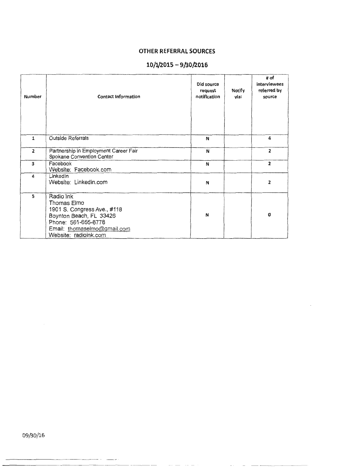## **OTHER REFERRAL SOURCES**

## **10/1/2015 - 9/30/2016**

| <b>Number</b>  | <b>Contact Information</b>                                                                                                                                        | Did source<br>request<br>notification | Notify<br>via: | # of<br>interviewees<br>referred by<br>source |
|----------------|-------------------------------------------------------------------------------------------------------------------------------------------------------------------|---------------------------------------|----------------|-----------------------------------------------|
| $\mathbf{1}$   | Outside Referrals                                                                                                                                                 | N                                     |                | 4                                             |
| $\overline{2}$ | Partnership in Employment Career Fair<br>Spokane Convention Center                                                                                                | N                                     |                | $\overline{2}$                                |
| 3              | Facebook<br>Website: Facebook.com                                                                                                                                 | N                                     |                | $\overline{2}$                                |
| 4              | LinkedIn<br>Website: Linkedin.com                                                                                                                                 | N                                     |                | 2                                             |
| 5              | Radio Ink<br>Thomas Elmo<br>1901 S. Congress Ave., #118<br>Boynton Beach, FL 33426<br>Phone: 561-655-8778<br>Email: thomaselmo@gmail.com<br>Website: radioink.com | N                                     |                | O                                             |

09/30/16

-----------·- - .

 $\overline{a}$ 

 $\alpha \rightarrow \alpha \rightarrow \alpha$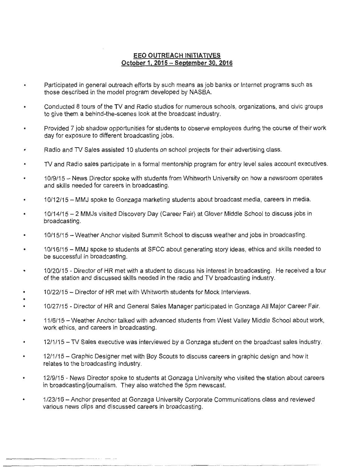### **EEO OUTREACH INITIATIVES October 1. 2015 - September 30. 2016**

- Participated in general outreach efforts by such means as job banks or Internet programs such as those described in the model program developed by NASBA.
- Conducted 8 tours of the TV and Radio studios for numerous schools, organizations, and civic groups to give them a behind-the-scenes look at the broadcast industry.
- Provided 7 job shadow opportunities for students to observe employees during the course of their work  $\bullet$ day for exposure to different broadcasting jobs.
- Radio and TV Sales assisted 10 students on school projects for their advertising class.
- TV and Radio sales participate in a formal mentorship program for entry level sales account executives.
- 10/9/15 News Director spoke with students from Whitworth University on how a newsroom operates and skills needed for careers in broadcasting.
- 10/12/15 MMJ spoke to Gonzaga marketing students about broadcast media, careers in media.
- 10/14/15 2 MMJs visited Discovery Day (Career Fair) at Glover Middle School to discuss jobs in broadcasting.
- 10/15/15 Weather Anchor visited Summit School to discuss weather and jobs in broadcasting.
- 10/16/15 MMJ spoke to students at SFCC about generating story ideas, ethics and skills needed to be successful in broadcasting.
- 10/20/15 Director of HR met with a student to discuss his interest in broadcasting. He received a tour of the station and discussed skills needed in the radio and TV broadcasting industry.
- 10/22/15 Director of HR met with Whitworth students for Mock Interviews.
- 10/27 /15 Director of HR and General Sales Manager participated in Gonzaga All Major Career Fair.
- 11 /6/15 Weather Anchor talked with advanced students from West Valley Middle School about work, work ethics, and careers in broadcasting.
- 12/1/15 TV Sales executive was interviewed by a Gonzaga student on the broadcast sales industry.
- 12/1/15- Graphic Designer met with Boy Scouts to discuss careers in graphic design and how it relates to the broadcasting industry.
- 12/9/15 News Director spoke to students at Gonzaga University who visited the station about careers  $\bullet$ in broadcasting/journalism. They also watched the 5pm newscast.
- 1 /23/16 Anchor presented at Gonzaga University Corporate Communications class and reviewed  $\bullet$ various news clips and discussed careers in broadcasting.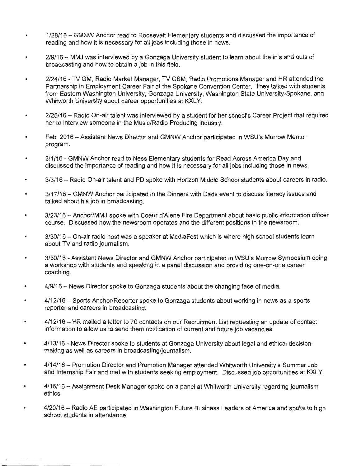- 1 /28/16 GMNW Anchor read to Roosevelt Elementary students and discussed the importance of  $\bullet$ reading and how it is necessary for all jobs including those in news.
- 2/9/16 MMJ was interviewed by a Gonzaga University student to learn about the in's and outs of  $\bullet$ broadcasting and how to obtain a job in this field .
- 2/24/16 TV GM, Radio Market Manager, TV GSM, Radio Promotions Manager and HR attended the  $\bullet$ Partnership in Employment Career Fair at the Spokane Convention Center. They talked with students from Eastern Washington University, Gonzaga University, Washington State University-Spokane, and Whitworth University about career opportunities at KXLY.
- 2/25/16 Radio On-air talent was interviewed by a student for her school's Career Project that required  $\bullet$ her to interview someone in the Music/Radio Producing industry.
- Feb. 2016 Assistant News Director and GMNW Anchor participated in WSU's Murrow Mentor  $\bullet$ program.
- 3/1/16 GMNW Anchor read to Ness Elementary students for Read Across America Day and discussed the importance of reading and how it is necessary for all jobs including those in news.
- 3/3/16 Radio On-air talent and PD spoke with Horizon Middle School students about careers in radio.
- 3/17/16 GMNW Anchor participated in the Dinners with Dads event to discuss literacy issues and talked about his job in broadcasting.
- 3/23/16 Anchor/MMJ spoke with Coeur d'Alene Fire Department about basic public information officer course. Discussed how the newsroom operates and the different positions in the newsroom.
- 3/30/16 On-air radio host was a speaker at MediaFest which is where high school students learn about TV and radio journalism.
- 3/30/16 Assistant News Director and GMNW Anchor participated in WSU's Murrow Symposium doing a workshop with students and speaking in a panel discussion and providing one-on-one career coaching.
- 4/9/16 News Director spoke to Gonzaga students about the changing face of media.
- 4/12/16 Sports Anchor/Reporter spoke to Gonzaga students about working in news as a sports reporter and careers in broadcasting.
- 4/12/16 HR mailed a letter to 70 contacts on our Recruitment List requesting an update of contact  $\blacksquare$ information to allow us to send them notification of current and future job vacancies.
- 4/13/16 News Director spoke to students at Gonzaga University about legal and ethical decisionmaking as well as careers in broadcasting/journalism.
- 4/14/16 Promotion Director and Promotion Manager attended Whitworth University's Summer Job and Internship Fair and met with students seeking employment. Discussed job opportunities at KXLY.
- 4/16/16 Assignment Desk Manager spoke on a panel at Whitworth University regarding journalism ethics.
- 4/20/16 Radio AE participated in Washington Future Business Leaders of America and spoke to high school students in attendance.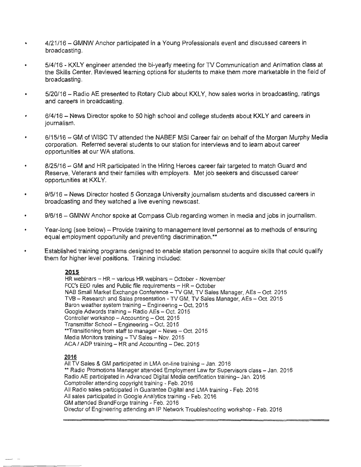- 4/21/16 GMNW Anchor participated in a Young Professionals event and discussed careers in broadcasting.
- 5/4/16 KXLY engineer attended the bi-yearly meeting for TV Communication and Animation class at the Skills Center. Reviewed learning options for students to make them more marketable in the field of broadcasting.
- 5/20/16 Radio AE presented to Rotary Club about KXL Y, how sales works in broadcasting, ratings and careers in broadcasting.
- 6/4/16 News Director spoke to 50 high school and college students about KXLY and careers in journalism.
- 6/15/16 GM of WISC TV attended the NABEF MSI Career fair on behalf of the Morgan Murphy Media corporation. Referred several students to our station for interviews and to learn about career opportunities at our WA stations.
- 8/25/16 GM and HR participated in the Hiring Heroes career fair targeted to match Guard and Reserve, Veterans and their families with employers. Met job seekers and discussed career opportunities at KXLY.
- 9/5/16 News Director hosted 5 Gonzaga University journalism students and discussed careers in broadcasting and they watched a live evening newscast.
- 9/6/16 GMNW Anchor spoke at Compass Club regarding women in media and jobs in journalism.
- Year-long (see below) Provide training to management level personnel as to methods of ensuring equal employment opportunity and preventing discrimination.\*\*
- Established training programs designed to enable station personnel to acquire skills that could qualify them for higher level positions. Training included:

#### **2015**

HR webinars - HR - various HR webinars - October - November  $FCC's EEO rules and Public file requirements – HR – October$ NAB Small Market Exchange Conference - TV GM, TV Sales Manager, AEs - Oct. 2015 TVB - Research and Sales presentation - TV GM, TV Sales Manager, AEs - Oct. 2015 Baron weather system training - Engineering - Oct. 2015 Google Adwords training - Radio AEs - Oct. 2015 Controller workshop - Accounting - Oct. 2015 Transmitter School - Engineering - Oct. 2015 \*\*Transitioning from staff to manager - News - Oct. 2015 Media Monitors training - TV Sales - Nov. 2015  $ACA / ADP$  training  $- HR$  and Accounting  $- Dec. 2015$ 

#### **2016**

All TV Sales & GM participated in LMA on-line training - Jan. 2016 \*\* Radio Promotions Manager attended Employment Law for Supervisors class - Jan. 2016 Radio AE participated in Advanced Digital Media certification training- Jan. 2016 Comptroller attending copyright training - Feb. 2016 All Radio sales participated in Guarantee Digital and LMA training - Feb. 2016 All sales participated in Google Analytics training - Feb. 2016 GM attended BrandForge training - Feb. 2016 Director of Engineering attending an IP Network Troubleshooting workshop - Feb. 2016